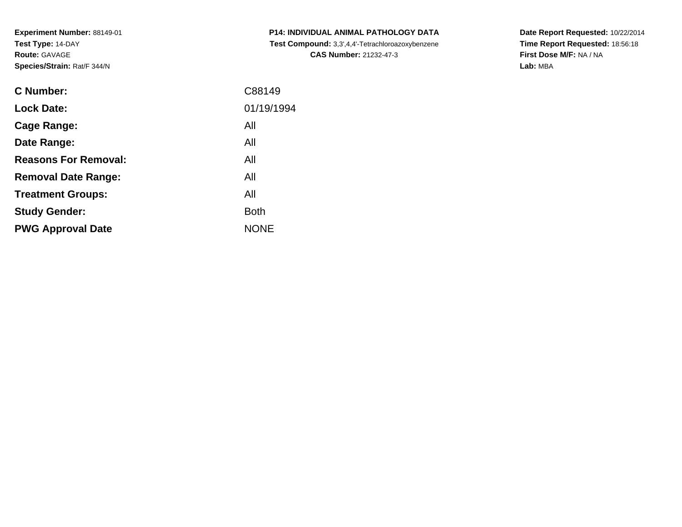**Experiment Number:** 88149-01**Test Type:** 14-DAY**Route:** GAVAGE**Species/Strain:** Rat/F 344/N

| <b>C</b> Number:            | C88149      |
|-----------------------------|-------------|
| <b>Lock Date:</b>           | 01/19/1994  |
| <b>Cage Range:</b>          | All         |
| Date Range:                 | All         |
| <b>Reasons For Removal:</b> | All         |
| <b>Removal Date Range:</b>  | All         |
| <b>Treatment Groups:</b>    | All         |
| <b>Study Gender:</b>        | <b>Both</b> |
| <b>PWG Approval Date</b>    | <b>NONE</b> |
|                             |             |

**P14: INDIVIDUAL ANIMAL PATHOLOGY DATA Test Compound:** 3,3',4,4'-Tetrachloroazoxybenzene**CAS Number:** 21232-47-3

**Date Report Requested:** 10/22/2014 **Time Report Requested:** 18:56:18**First Dose M/F:** NA / NA**Lab:** MBA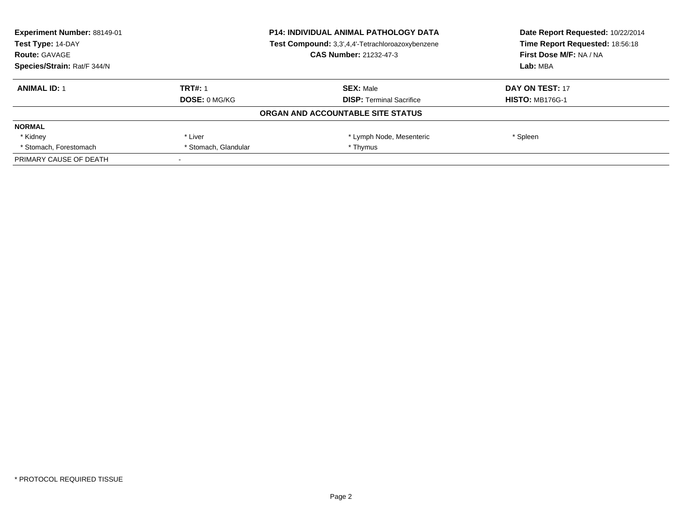| Experiment Number: 88149-01<br><b>P14: INDIVIDUAL ANIMAL PATHOLOGY DATA</b><br>Test Type: 14-DAY<br>Test Compound: 3,3',4,4'-Tetrachloroazoxybenzene |                      |                                   | Date Report Requested: 10/22/2014 |
|------------------------------------------------------------------------------------------------------------------------------------------------------|----------------------|-----------------------------------|-----------------------------------|
|                                                                                                                                                      |                      | Time Report Requested: 18:56:18   |                                   |
| <b>Route: GAVAGE</b>                                                                                                                                 |                      | <b>CAS Number: 21232-47-3</b>     | First Dose M/F: NA / NA           |
| Species/Strain: Rat/F 344/N                                                                                                                          |                      |                                   | Lab: MBA                          |
| <b>ANIMAL ID: 1</b>                                                                                                                                  | <b>TRT#: 1</b>       | <b>SEX: Male</b>                  | DAY ON TEST: 17                   |
|                                                                                                                                                      | <b>DOSE: 0 MG/KG</b> | <b>DISP:</b> Terminal Sacrifice   | <b>HISTO: MB176G-1</b>            |
|                                                                                                                                                      |                      | ORGAN AND ACCOUNTABLE SITE STATUS |                                   |
| <b>NORMAL</b>                                                                                                                                        |                      |                                   |                                   |
| * Kidney                                                                                                                                             | * Liver              | * Lymph Node, Mesenteric          | * Spleen                          |
| * Stomach, Forestomach                                                                                                                               | * Stomach, Glandular | * Thymus                          |                                   |
| PRIMARY CAUSE OF DEATH                                                                                                                               |                      |                                   |                                   |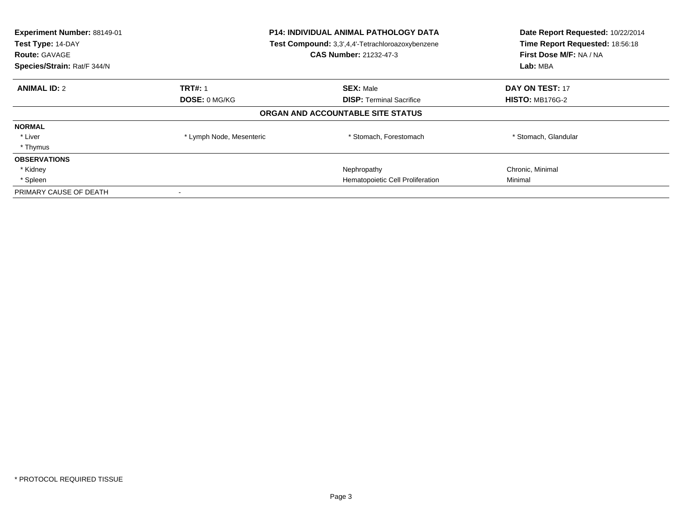| Experiment Number: 88149-01<br>Test Type: 14-DAY<br><b>Route: GAVAGE</b><br>Species/Strain: Rat/F 344/N |                          | <b>P14: INDIVIDUAL ANIMAL PATHOLOGY DATA</b><br>Test Compound: 3,3',4,4'-Tetrachloroazoxybenzene<br><b>CAS Number: 21232-47-3</b> | Date Report Requested: 10/22/2014<br>Time Report Requested: 18:56:18<br>First Dose M/F: NA / NA<br>Lab: MBA |
|---------------------------------------------------------------------------------------------------------|--------------------------|-----------------------------------------------------------------------------------------------------------------------------------|-------------------------------------------------------------------------------------------------------------|
| <b>ANIMAL ID: 2</b>                                                                                     | <b>TRT#: 1</b>           | <b>SEX: Male</b>                                                                                                                  | DAY ON TEST: 17                                                                                             |
|                                                                                                         | <b>DOSE: 0 MG/KG</b>     | <b>DISP:</b> Terminal Sacrifice                                                                                                   | <b>HISTO: MB176G-2</b>                                                                                      |
|                                                                                                         |                          | ORGAN AND ACCOUNTABLE SITE STATUS                                                                                                 |                                                                                                             |
| <b>NORMAL</b>                                                                                           |                          |                                                                                                                                   |                                                                                                             |
| * Liver                                                                                                 | * Lymph Node, Mesenteric | * Stomach, Forestomach                                                                                                            | * Stomach, Glandular                                                                                        |
| * Thymus                                                                                                |                          |                                                                                                                                   |                                                                                                             |
| <b>OBSERVATIONS</b>                                                                                     |                          |                                                                                                                                   |                                                                                                             |
| * Kidney                                                                                                |                          | Nephropathy                                                                                                                       | Chronic, Minimal                                                                                            |
| * Spleen                                                                                                |                          | Hematopoietic Cell Proliferation                                                                                                  | Minimal                                                                                                     |
| PRIMARY CAUSE OF DEATH                                                                                  | $\overline{\phantom{a}}$ |                                                                                                                                   |                                                                                                             |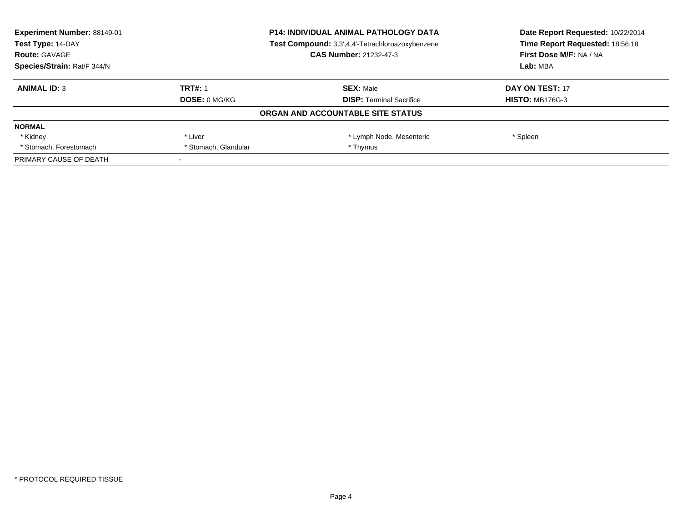| Experiment Number: 88149-01 |                      | <b>P14: INDIVIDUAL ANIMAL PATHOLOGY DATA</b>     | Date Report Requested: 10/22/2014<br>Time Report Requested: 18:56:18 |
|-----------------------------|----------------------|--------------------------------------------------|----------------------------------------------------------------------|
| Test Type: 14-DAY           |                      | Test Compound: 3,3',4,4'-Tetrachloroazoxybenzene |                                                                      |
| <b>Route: GAVAGE</b>        |                      | <b>CAS Number: 21232-47-3</b>                    | First Dose M/F: NA / NA                                              |
| Species/Strain: Rat/F 344/N |                      |                                                  | Lab: MBA                                                             |
| <b>ANIMAL ID: 3</b>         | <b>TRT#: 1</b>       | <b>SEX: Male</b>                                 | DAY ON TEST: 17                                                      |
|                             | DOSE: 0 MG/KG        | <b>DISP:</b> Terminal Sacrifice                  | <b>HISTO: MB176G-3</b>                                               |
|                             |                      | ORGAN AND ACCOUNTABLE SITE STATUS                |                                                                      |
| <b>NORMAL</b>               |                      |                                                  |                                                                      |
| * Kidney                    | * Liver              | * Lymph Node, Mesenteric                         | * Spleen                                                             |
| * Stomach, Forestomach      | * Stomach, Glandular | * Thymus                                         |                                                                      |
| PRIMARY CAUSE OF DEATH      |                      |                                                  |                                                                      |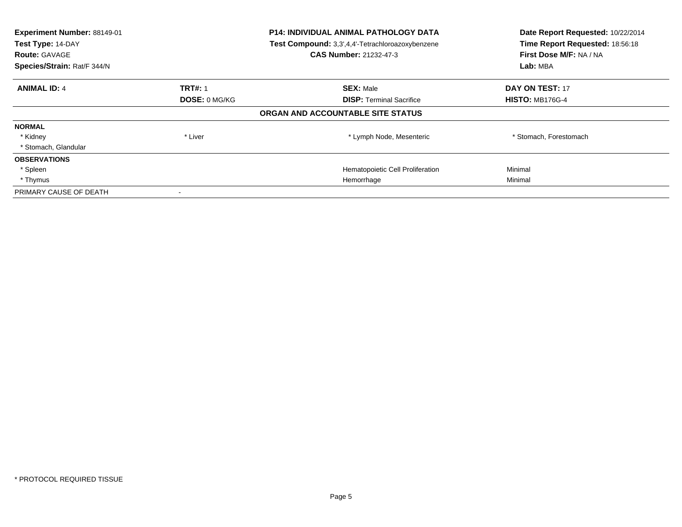| Experiment Number: 88149-01<br>Test Type: 14-DAY<br><b>Route: GAVAGE</b><br>Species/Strain: Rat/F 344/N | <b>P14: INDIVIDUAL ANIMAL PATHOLOGY DATA</b><br>Test Compound: 3,3',4,4'-Tetrachloroazoxybenzene<br><b>CAS Number: 21232-47-3</b> |                                   | Date Report Requested: 10/22/2014<br>Time Report Requested: 18:56:18<br>First Dose M/F: NA / NA<br>Lab: MBA |
|---------------------------------------------------------------------------------------------------------|-----------------------------------------------------------------------------------------------------------------------------------|-----------------------------------|-------------------------------------------------------------------------------------------------------------|
| <b>ANIMAL ID: 4</b>                                                                                     | <b>TRT#: 1</b>                                                                                                                    | <b>SEX: Male</b>                  | <b>DAY ON TEST: 17</b>                                                                                      |
|                                                                                                         | DOSE: 0 MG/KG                                                                                                                     | <b>DISP: Terminal Sacrifice</b>   | <b>HISTO: MB176G-4</b>                                                                                      |
|                                                                                                         |                                                                                                                                   | ORGAN AND ACCOUNTABLE SITE STATUS |                                                                                                             |
| <b>NORMAL</b>                                                                                           |                                                                                                                                   |                                   |                                                                                                             |
| * Kidney                                                                                                | * Liver                                                                                                                           | * Lymph Node, Mesenteric          | * Stomach, Forestomach                                                                                      |
| * Stomach, Glandular                                                                                    |                                                                                                                                   |                                   |                                                                                                             |
| <b>OBSERVATIONS</b>                                                                                     |                                                                                                                                   |                                   |                                                                                                             |
| * Spleen                                                                                                |                                                                                                                                   | Hematopoietic Cell Proliferation  | Minimal                                                                                                     |
| * Thymus                                                                                                |                                                                                                                                   | Hemorrhage                        | Minimal                                                                                                     |
| PRIMARY CAUSE OF DEATH                                                                                  |                                                                                                                                   |                                   |                                                                                                             |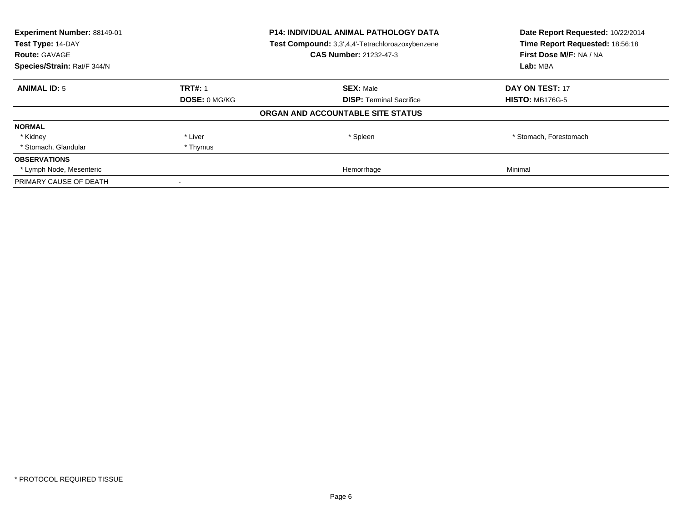| Experiment Number: 88149-01<br>Test Type: 14-DAY |                                                       | <b>P14: INDIVIDUAL ANIMAL PATHOLOGY DATA</b><br>Test Compound: 3,3',4,4'-Tetrachloroazoxybenzene | Date Report Requested: 10/22/2014<br>Time Report Requested: 18:56:18 |
|--------------------------------------------------|-------------------------------------------------------|--------------------------------------------------------------------------------------------------|----------------------------------------------------------------------|
| Species/Strain: Rat/F 344/N                      | <b>CAS Number: 21232-47-3</b><br><b>Route: GAVAGE</b> |                                                                                                  | First Dose M/F: NA / NA<br>Lab: MBA                                  |
|                                                  |                                                       |                                                                                                  |                                                                      |
| <b>ANIMAL ID: 5</b>                              | <b>TRT#: 1</b>                                        | <b>SEX: Male</b>                                                                                 | DAY ON TEST: 17                                                      |
|                                                  | DOSE: 0 MG/KG                                         | <b>DISP:</b> Terminal Sacrifice                                                                  | <b>HISTO: MB176G-5</b>                                               |
|                                                  |                                                       | ORGAN AND ACCOUNTABLE SITE STATUS                                                                |                                                                      |
| <b>NORMAL</b>                                    |                                                       |                                                                                                  |                                                                      |
| * Kidney                                         | * Liver                                               | * Spleen                                                                                         | * Stomach, Forestomach                                               |
| * Stomach, Glandular                             | * Thymus                                              |                                                                                                  |                                                                      |
| <b>OBSERVATIONS</b>                              |                                                       |                                                                                                  |                                                                      |
| * Lymph Node, Mesenteric                         |                                                       | Hemorrhage                                                                                       | Minimal                                                              |
| PRIMARY CAUSE OF DEATH                           |                                                       |                                                                                                  |                                                                      |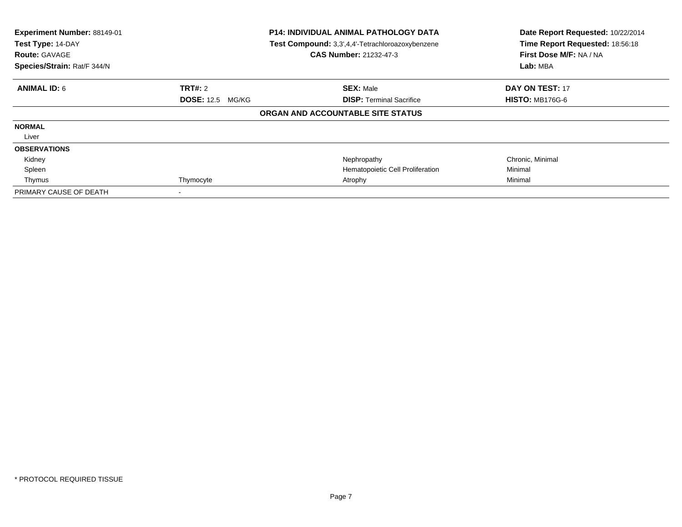| Experiment Number: 88149-01<br>Test Type: 14-DAY<br><b>Route: GAVAGE</b><br>Species/Strain: Rat/F 344/N | <b>P14: INDIVIDUAL ANIMAL PATHOLOGY DATA</b><br>Test Compound: 3,3',4,4'-Tetrachloroazoxybenzene<br><b>CAS Number: 21232-47-3</b> |                                   | Date Report Requested: 10/22/2014<br>Time Report Requested: 18:56:18<br>First Dose M/F: NA / NA<br>Lab: MBA |  |
|---------------------------------------------------------------------------------------------------------|-----------------------------------------------------------------------------------------------------------------------------------|-----------------------------------|-------------------------------------------------------------------------------------------------------------|--|
| <b>ANIMAL ID: 6</b>                                                                                     | <b>TRT#:</b> 2                                                                                                                    | <b>SEX: Male</b>                  | <b>DAY ON TEST: 17</b>                                                                                      |  |
|                                                                                                         | <b>DOSE: 12.5 MG/KG</b>                                                                                                           | <b>DISP:</b> Terminal Sacrifice   | <b>HISTO: MB176G-6</b>                                                                                      |  |
|                                                                                                         |                                                                                                                                   | ORGAN AND ACCOUNTABLE SITE STATUS |                                                                                                             |  |
| <b>NORMAL</b>                                                                                           |                                                                                                                                   |                                   |                                                                                                             |  |
| Liver                                                                                                   |                                                                                                                                   |                                   |                                                                                                             |  |
| <b>OBSERVATIONS</b>                                                                                     |                                                                                                                                   |                                   |                                                                                                             |  |
| Kidney                                                                                                  |                                                                                                                                   | Nephropathy                       | Chronic, Minimal                                                                                            |  |
| Spleen                                                                                                  |                                                                                                                                   | Hematopoietic Cell Proliferation  | Minimal                                                                                                     |  |
| Thymus                                                                                                  | Thymocyte                                                                                                                         | Atrophy                           | Minimal                                                                                                     |  |
| PRIMARY CAUSE OF DEATH                                                                                  |                                                                                                                                   |                                   |                                                                                                             |  |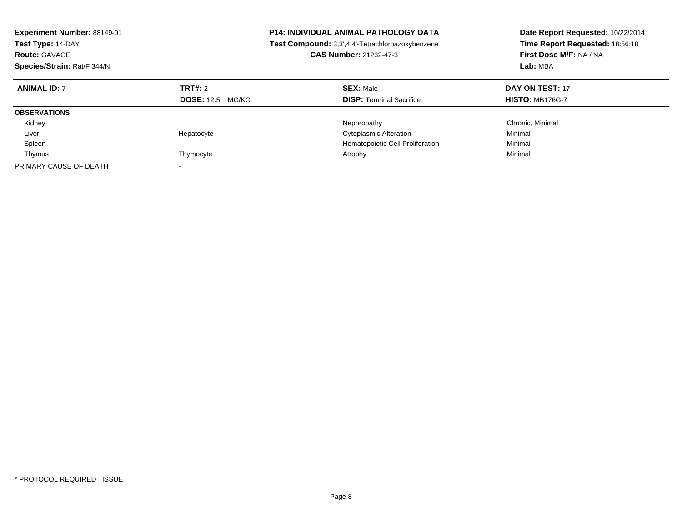| <b>Experiment Number: 88149-01</b><br>Test Type: 14-DAY<br><b>Route: GAVAGE</b><br>Species/Strain: Rat/F 344/N |                                    | <b>P14: INDIVIDUAL ANIMAL PATHOLOGY DATA</b><br><b>Test Compound:</b> 3,3',4,4'-Tetrachloroazoxybenzene<br><b>CAS Number: 21232-47-3</b> | Date Report Requested: 10/22/2014<br>Time Report Requested: 18:56:18<br>First Dose M/F: NA / NA<br>Lab: MBA |
|----------------------------------------------------------------------------------------------------------------|------------------------------------|------------------------------------------------------------------------------------------------------------------------------------------|-------------------------------------------------------------------------------------------------------------|
| <b>ANIMAL ID: 7</b>                                                                                            | TRT#: 2<br><b>DOSE:</b> 12.5 MG/KG | <b>SEX: Male</b><br><b>DISP:</b> Terminal Sacrifice                                                                                      | DAY ON TEST: 17<br><b>HISTO: MB176G-7</b>                                                                   |
| <b>OBSERVATIONS</b>                                                                                            |                                    |                                                                                                                                          |                                                                                                             |
| Kidney                                                                                                         |                                    | Nephropathy                                                                                                                              | Chronic, Minimal                                                                                            |
| Liver                                                                                                          | Hepatocyte                         | <b>Cytoplasmic Alteration</b>                                                                                                            | Minimal                                                                                                     |
| Spleen                                                                                                         |                                    | Hematopoietic Cell Proliferation                                                                                                         | Minimal                                                                                                     |
| Thymus                                                                                                         | Thymocyte                          | Atrophy                                                                                                                                  | Minimal                                                                                                     |
| PRIMARY CAUSE OF DEATH                                                                                         |                                    |                                                                                                                                          |                                                                                                             |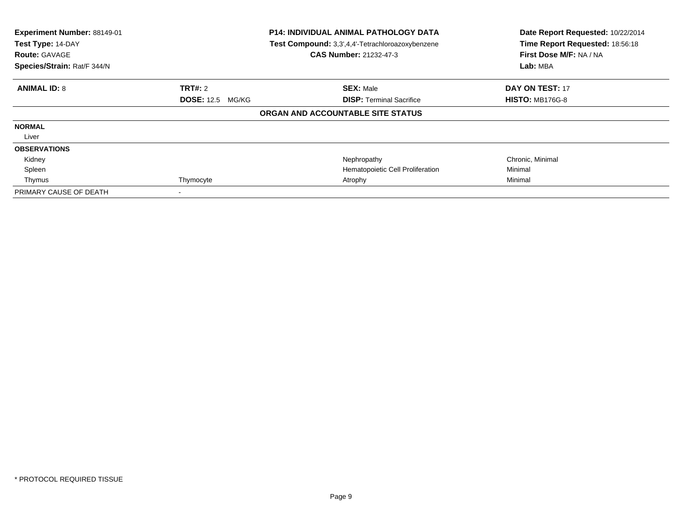| Experiment Number: 88149-01<br>Test Type: 14-DAY<br><b>Route: GAVAGE</b><br>Species/Strain: Rat/F 344/N | <b>P14: INDIVIDUAL ANIMAL PATHOLOGY DATA</b><br>Test Compound: 3,3',4,4'-Tetrachloroazoxybenzene<br><b>CAS Number: 21232-47-3</b> |                                   | Date Report Requested: 10/22/2014<br>Time Report Requested: 18:56:18<br>First Dose M/F: NA / NA<br>Lab: MBA |  |
|---------------------------------------------------------------------------------------------------------|-----------------------------------------------------------------------------------------------------------------------------------|-----------------------------------|-------------------------------------------------------------------------------------------------------------|--|
| <b>ANIMAL ID: 8</b>                                                                                     | <b>TRT#:</b> 2                                                                                                                    | <b>SEX: Male</b>                  | <b>DAY ON TEST: 17</b>                                                                                      |  |
|                                                                                                         | <b>DOSE: 12.5 MG/KG</b>                                                                                                           | <b>DISP:</b> Terminal Sacrifice   | <b>HISTO: MB176G-8</b>                                                                                      |  |
|                                                                                                         |                                                                                                                                   | ORGAN AND ACCOUNTABLE SITE STATUS |                                                                                                             |  |
| <b>NORMAL</b>                                                                                           |                                                                                                                                   |                                   |                                                                                                             |  |
| Liver                                                                                                   |                                                                                                                                   |                                   |                                                                                                             |  |
| <b>OBSERVATIONS</b>                                                                                     |                                                                                                                                   |                                   |                                                                                                             |  |
| Kidney                                                                                                  |                                                                                                                                   | Nephropathy                       | Chronic, Minimal                                                                                            |  |
| Spleen                                                                                                  |                                                                                                                                   | Hematopoietic Cell Proliferation  | Minimal                                                                                                     |  |
| Thymus                                                                                                  | Thymocyte                                                                                                                         | Atrophy                           | Minimal                                                                                                     |  |
| PRIMARY CAUSE OF DEATH                                                                                  |                                                                                                                                   |                                   |                                                                                                             |  |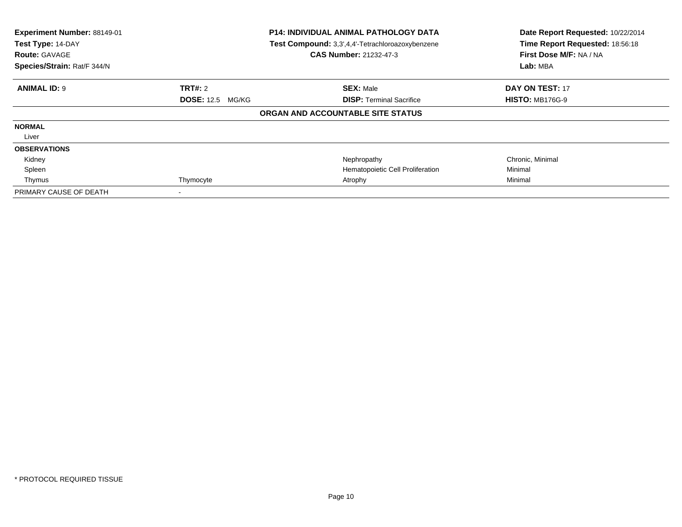| Experiment Number: 88149-01<br>Test Type: 14-DAY<br><b>Route: GAVAGE</b><br>Species/Strain: Rat/F 344/N | <b>P14: INDIVIDUAL ANIMAL PATHOLOGY DATA</b><br>Test Compound: 3,3',4,4'-Tetrachloroazoxybenzene<br><b>CAS Number: 21232-47-3</b> |                                   | Date Report Requested: 10/22/2014<br>Time Report Requested: 18:56:18<br>First Dose M/F: NA / NA<br>Lab: MBA |  |
|---------------------------------------------------------------------------------------------------------|-----------------------------------------------------------------------------------------------------------------------------------|-----------------------------------|-------------------------------------------------------------------------------------------------------------|--|
| <b>ANIMAL ID: 9</b>                                                                                     | <b>TRT#:</b> 2                                                                                                                    | <b>SEX: Male</b>                  | <b>DAY ON TEST: 17</b>                                                                                      |  |
|                                                                                                         | <b>DOSE: 12.5 MG/KG</b>                                                                                                           | <b>DISP:</b> Terminal Sacrifice   | <b>HISTO: MB176G-9</b>                                                                                      |  |
|                                                                                                         |                                                                                                                                   | ORGAN AND ACCOUNTABLE SITE STATUS |                                                                                                             |  |
| <b>NORMAL</b>                                                                                           |                                                                                                                                   |                                   |                                                                                                             |  |
| Liver                                                                                                   |                                                                                                                                   |                                   |                                                                                                             |  |
| <b>OBSERVATIONS</b>                                                                                     |                                                                                                                                   |                                   |                                                                                                             |  |
| Kidney                                                                                                  |                                                                                                                                   | Nephropathy                       | Chronic, Minimal                                                                                            |  |
| Spleen                                                                                                  |                                                                                                                                   | Hematopoietic Cell Proliferation  | Minimal                                                                                                     |  |
| Thymus                                                                                                  | Thymocyte                                                                                                                         | Atrophy                           | Minimal                                                                                                     |  |
| PRIMARY CAUSE OF DEATH                                                                                  |                                                                                                                                   |                                   |                                                                                                             |  |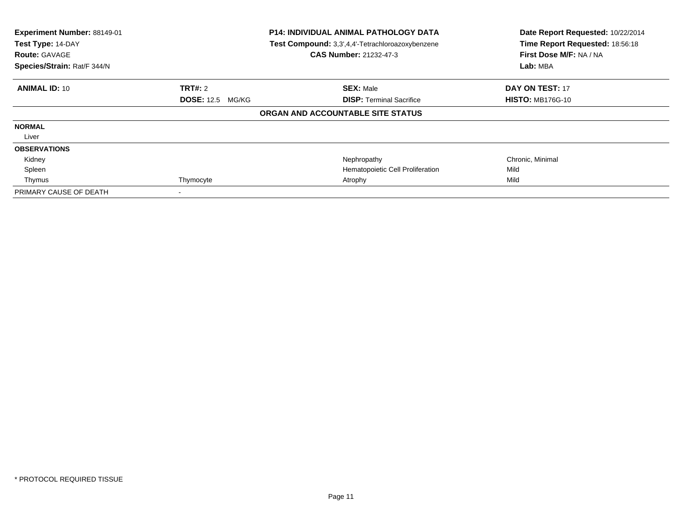| Experiment Number: 88149-01<br>Test Type: 14-DAY<br><b>Route: GAVAGE</b><br>Species/Strain: Rat/F 344/N | <b>P14: INDIVIDUAL ANIMAL PATHOLOGY DATA</b><br>Test Compound: 3,3',4,4'-Tetrachloroazoxybenzene<br><b>CAS Number: 21232-47-3</b> |                                   | Date Report Requested: 10/22/2014<br>Time Report Requested: 18:56:18<br>First Dose M/F: NA / NA<br>Lab: MBA |  |
|---------------------------------------------------------------------------------------------------------|-----------------------------------------------------------------------------------------------------------------------------------|-----------------------------------|-------------------------------------------------------------------------------------------------------------|--|
| <b>ANIMAL ID: 10</b>                                                                                    | <b>TRT#:</b> 2                                                                                                                    | <b>SEX: Male</b>                  | <b>DAY ON TEST: 17</b>                                                                                      |  |
|                                                                                                         | <b>DOSE: 12.5 MG/KG</b>                                                                                                           | <b>DISP:</b> Terminal Sacrifice   | <b>HISTO: MB176G-10</b>                                                                                     |  |
|                                                                                                         |                                                                                                                                   | ORGAN AND ACCOUNTABLE SITE STATUS |                                                                                                             |  |
| <b>NORMAL</b>                                                                                           |                                                                                                                                   |                                   |                                                                                                             |  |
| Liver                                                                                                   |                                                                                                                                   |                                   |                                                                                                             |  |
| <b>OBSERVATIONS</b>                                                                                     |                                                                                                                                   |                                   |                                                                                                             |  |
| Kidney                                                                                                  |                                                                                                                                   | Nephropathy                       | Chronic, Minimal                                                                                            |  |
| Spleen                                                                                                  |                                                                                                                                   | Hematopoietic Cell Proliferation  | Mild                                                                                                        |  |
| Thymus                                                                                                  | Thymocyte                                                                                                                         | Atrophy                           | Mild                                                                                                        |  |
| PRIMARY CAUSE OF DEATH                                                                                  |                                                                                                                                   |                                   |                                                                                                             |  |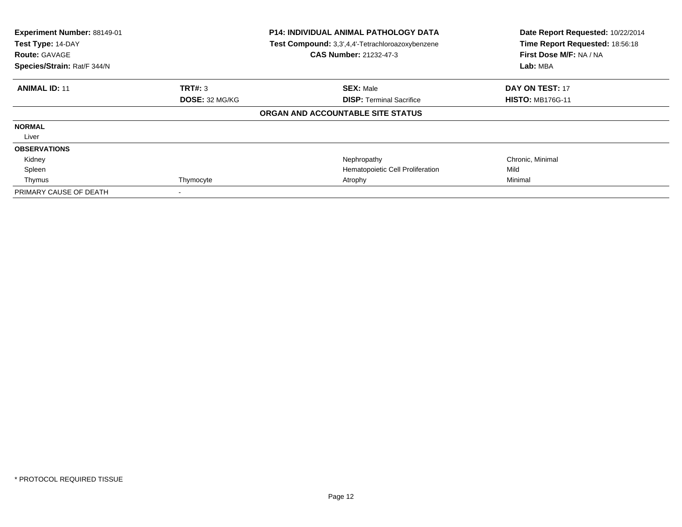| Experiment Number: 88149-01<br>Test Type: 14-DAY<br><b>Route: GAVAGE</b><br>Species/Strain: Rat/F 344/N | <b>P14: INDIVIDUAL ANIMAL PATHOLOGY DATA</b><br>Test Compound: 3,3',4,4'-Tetrachloroazoxybenzene<br><b>CAS Number: 21232-47-3</b> |                                   | Date Report Requested: 10/22/2014<br>Time Report Requested: 18:56:18<br>First Dose M/F: NA / NA<br>Lab: MBA |
|---------------------------------------------------------------------------------------------------------|-----------------------------------------------------------------------------------------------------------------------------------|-----------------------------------|-------------------------------------------------------------------------------------------------------------|
| <b>ANIMAL ID: 11</b>                                                                                    | <b>TRT#: 3</b>                                                                                                                    | <b>SEX: Male</b>                  | <b>DAY ON TEST: 17</b>                                                                                      |
|                                                                                                         | DOSE: 32 MG/KG                                                                                                                    | <b>DISP:</b> Terminal Sacrifice   | <b>HISTO: MB176G-11</b>                                                                                     |
|                                                                                                         |                                                                                                                                   | ORGAN AND ACCOUNTABLE SITE STATUS |                                                                                                             |
| <b>NORMAL</b>                                                                                           |                                                                                                                                   |                                   |                                                                                                             |
| Liver                                                                                                   |                                                                                                                                   |                                   |                                                                                                             |
| <b>OBSERVATIONS</b>                                                                                     |                                                                                                                                   |                                   |                                                                                                             |
| Kidney                                                                                                  |                                                                                                                                   | Nephropathy                       | Chronic, Minimal                                                                                            |
| Spleen                                                                                                  |                                                                                                                                   | Hematopoietic Cell Proliferation  | Mild                                                                                                        |
| Thymus                                                                                                  | Thymocyte                                                                                                                         | Atrophy                           | Minimal                                                                                                     |
| PRIMARY CAUSE OF DEATH                                                                                  |                                                                                                                                   |                                   |                                                                                                             |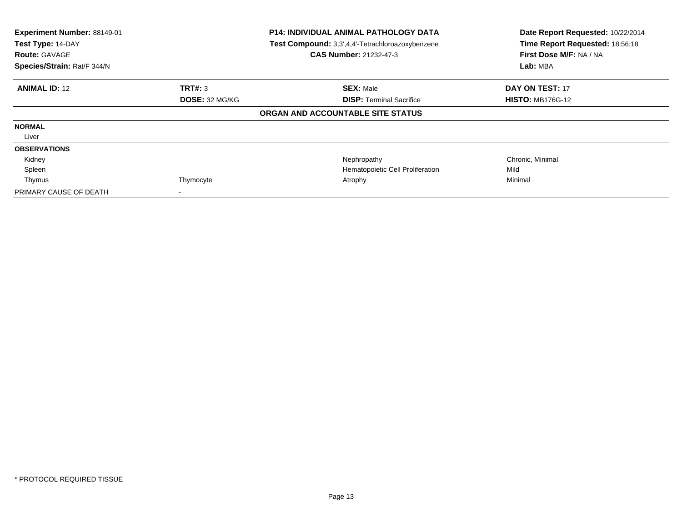| Experiment Number: 88149-01<br>Test Type: 14-DAY<br><b>Route: GAVAGE</b><br>Species/Strain: Rat/F 344/N |                | P14: INDIVIDUAL ANIMAL PATHOLOGY DATA<br>Test Compound: 3,3',4,4'-Tetrachloroazoxybenzene<br><b>CAS Number: 21232-47-3</b> | Date Report Requested: 10/22/2014<br>Time Report Requested: 18:56:18<br>First Dose M/F: NA / NA<br>Lab: MBA |
|---------------------------------------------------------------------------------------------------------|----------------|----------------------------------------------------------------------------------------------------------------------------|-------------------------------------------------------------------------------------------------------------|
| <b>ANIMAL ID: 12</b>                                                                                    | <b>TRT#: 3</b> | <b>SEX: Male</b>                                                                                                           | <b>DAY ON TEST: 17</b>                                                                                      |
|                                                                                                         | DOSE: 32 MG/KG | <b>DISP:</b> Terminal Sacrifice                                                                                            | <b>HISTO: MB176G-12</b>                                                                                     |
|                                                                                                         |                | ORGAN AND ACCOUNTABLE SITE STATUS                                                                                          |                                                                                                             |
| <b>NORMAL</b>                                                                                           |                |                                                                                                                            |                                                                                                             |
| Liver                                                                                                   |                |                                                                                                                            |                                                                                                             |
| <b>OBSERVATIONS</b>                                                                                     |                |                                                                                                                            |                                                                                                             |
| Kidney                                                                                                  |                | Nephropathy                                                                                                                | Chronic, Minimal                                                                                            |
| Spleen                                                                                                  |                | Hematopoietic Cell Proliferation                                                                                           | Mild                                                                                                        |
| Thymus                                                                                                  | Thymocyte      | Atrophy                                                                                                                    | Minimal                                                                                                     |
| PRIMARY CAUSE OF DEATH                                                                                  |                |                                                                                                                            |                                                                                                             |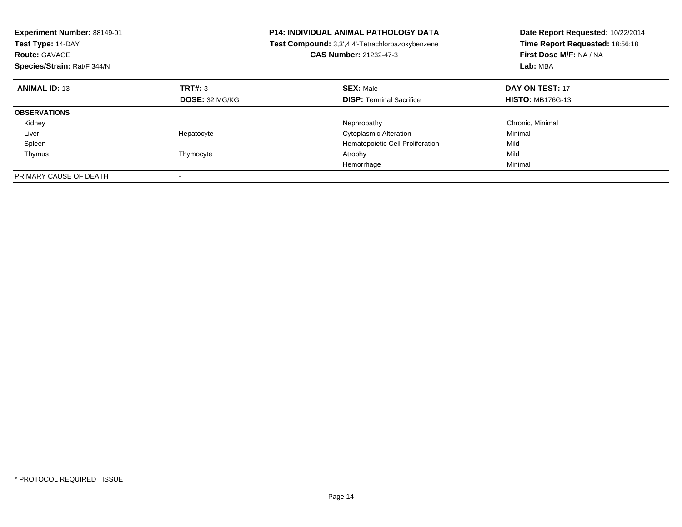| <b>Experiment Number: 88149-01</b><br>Test Type: 14-DAY<br><b>Route: GAVAGE</b><br>Species/Strain: Rat/F 344/N |                       | <b>P14: INDIVIDUAL ANIMAL PATHOLOGY DATA</b><br>Test Compound: 3,3',4,4'-Tetrachloroazoxybenzene<br><b>CAS Number: 21232-47-3</b> | Date Report Requested: 10/22/2014<br>Time Report Requested: 18:56:18<br>First Dose M/F: NA / NA<br>Lab: MBA |
|----------------------------------------------------------------------------------------------------------------|-----------------------|-----------------------------------------------------------------------------------------------------------------------------------|-------------------------------------------------------------------------------------------------------------|
| <b>ANIMAL ID: 13</b>                                                                                           | TRT#: 3               | <b>SEX: Male</b>                                                                                                                  | DAY ON TEST: 17                                                                                             |
|                                                                                                                | <b>DOSE: 32 MG/KG</b> | <b>DISP:</b> Terminal Sacrifice                                                                                                   | <b>HISTO: MB176G-13</b>                                                                                     |
| <b>OBSERVATIONS</b>                                                                                            |                       |                                                                                                                                   |                                                                                                             |
| Kidney                                                                                                         |                       | Nephropathy                                                                                                                       | Chronic, Minimal                                                                                            |
| Liver                                                                                                          | Hepatocyte            | <b>Cytoplasmic Alteration</b>                                                                                                     | Minimal                                                                                                     |
| Spleen                                                                                                         |                       | Hematopoietic Cell Proliferation                                                                                                  | Mild                                                                                                        |
| Thymus                                                                                                         | Thymocyte             | Atrophy                                                                                                                           | Mild                                                                                                        |
|                                                                                                                |                       | Hemorrhage                                                                                                                        | Minimal                                                                                                     |
| PRIMARY CAUSE OF DEATH                                                                                         |                       |                                                                                                                                   |                                                                                                             |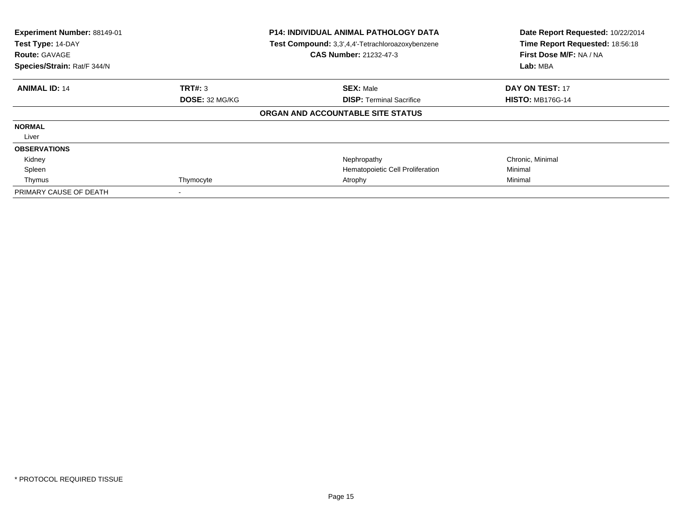| Experiment Number: 88149-01<br>Test Type: 14-DAY<br><b>Route: GAVAGE</b><br>Species/Strain: Rat/F 344/N |                | P14: INDIVIDUAL ANIMAL PATHOLOGY DATA<br>Test Compound: 3,3',4,4'-Tetrachloroazoxybenzene<br><b>CAS Number: 21232-47-3</b> | Date Report Requested: 10/22/2014<br>Time Report Requested: 18:56:18<br>First Dose M/F: NA / NA<br>Lab: MBA |
|---------------------------------------------------------------------------------------------------------|----------------|----------------------------------------------------------------------------------------------------------------------------|-------------------------------------------------------------------------------------------------------------|
| <b>ANIMAL ID: 14</b>                                                                                    | <b>TRT#: 3</b> | <b>SEX: Male</b>                                                                                                           | <b>DAY ON TEST: 17</b>                                                                                      |
|                                                                                                         | DOSE: 32 MG/KG | <b>DISP:</b> Terminal Sacrifice                                                                                            | <b>HISTO: MB176G-14</b>                                                                                     |
|                                                                                                         |                | ORGAN AND ACCOUNTABLE SITE STATUS                                                                                          |                                                                                                             |
| <b>NORMAL</b>                                                                                           |                |                                                                                                                            |                                                                                                             |
| Liver                                                                                                   |                |                                                                                                                            |                                                                                                             |
| <b>OBSERVATIONS</b>                                                                                     |                |                                                                                                                            |                                                                                                             |
| Kidney                                                                                                  |                | Nephropathy                                                                                                                | Chronic, Minimal                                                                                            |
| Spleen                                                                                                  |                | Hematopoietic Cell Proliferation                                                                                           | Minimal                                                                                                     |
| Thymus                                                                                                  | Thymocyte      | Atrophy                                                                                                                    | Minimal                                                                                                     |
| PRIMARY CAUSE OF DEATH                                                                                  |                |                                                                                                                            |                                                                                                             |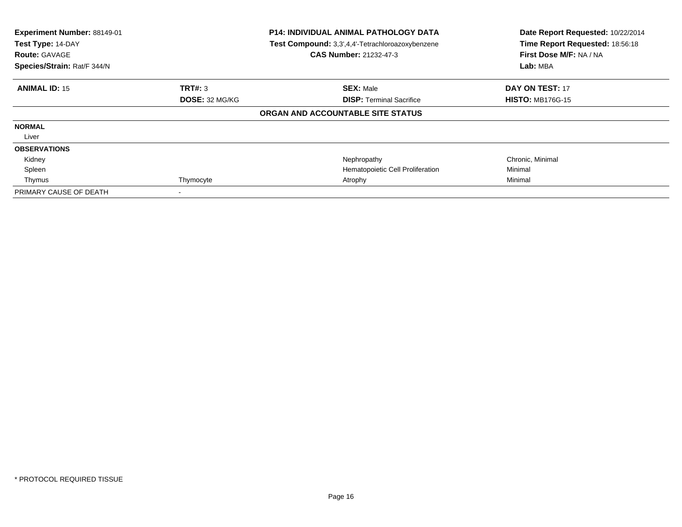| Experiment Number: 88149-01<br>Test Type: 14-DAY<br><b>Route: GAVAGE</b><br>Species/Strain: Rat/F 344/N |                | <b>P14: INDIVIDUAL ANIMAL PATHOLOGY DATA</b><br>Test Compound: 3,3',4,4'-Tetrachloroazoxybenzene<br><b>CAS Number: 21232-47-3</b> | Date Report Requested: 10/22/2014<br>Time Report Requested: 18:56:18<br>First Dose M/F: NA / NA<br>Lab: MBA |
|---------------------------------------------------------------------------------------------------------|----------------|-----------------------------------------------------------------------------------------------------------------------------------|-------------------------------------------------------------------------------------------------------------|
| <b>ANIMAL ID: 15</b>                                                                                    | <b>TRT#: 3</b> | <b>SEX: Male</b>                                                                                                                  | <b>DAY ON TEST: 17</b>                                                                                      |
|                                                                                                         | DOSE: 32 MG/KG | <b>DISP:</b> Terminal Sacrifice                                                                                                   | <b>HISTO: MB176G-15</b>                                                                                     |
|                                                                                                         |                | ORGAN AND ACCOUNTABLE SITE STATUS                                                                                                 |                                                                                                             |
| <b>NORMAL</b>                                                                                           |                |                                                                                                                                   |                                                                                                             |
| Liver                                                                                                   |                |                                                                                                                                   |                                                                                                             |
| <b>OBSERVATIONS</b>                                                                                     |                |                                                                                                                                   |                                                                                                             |
| Kidney                                                                                                  |                | Nephropathy                                                                                                                       | Chronic, Minimal                                                                                            |
| Spleen                                                                                                  |                | Hematopoietic Cell Proliferation                                                                                                  | Minimal                                                                                                     |
| Thymus                                                                                                  | Thymocyte      | Atrophy                                                                                                                           | Minimal                                                                                                     |
| PRIMARY CAUSE OF DEATH                                                                                  |                |                                                                                                                                   |                                                                                                             |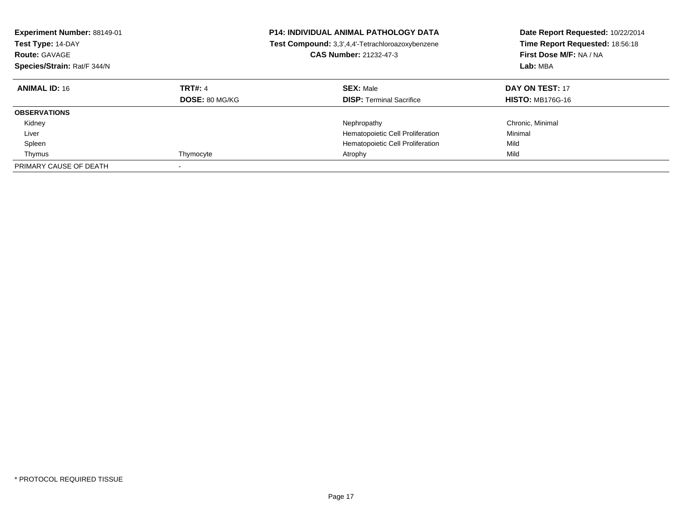| Experiment Number: 88149-01<br>Test Type: 14-DAY<br><b>Route: GAVAGE</b><br>Species/Strain: Rat/F 344/N |                                         | <b>P14: INDIVIDUAL ANIMAL PATHOLOGY DATA</b><br>Test Compound: 3,3',4,4'-Tetrachloroazoxybenzene<br><b>CAS Number: 21232-47-3</b> | Date Report Requested: 10/22/2014<br>Time Report Requested: 18:56:18<br>First Dose M/F: NA / NA<br>Lab: MBA |
|---------------------------------------------------------------------------------------------------------|-----------------------------------------|-----------------------------------------------------------------------------------------------------------------------------------|-------------------------------------------------------------------------------------------------------------|
| <b>ANIMAL ID: 16</b>                                                                                    | <b>TRT#: 4</b><br><b>DOSE: 80 MG/KG</b> | <b>SEX: Male</b><br><b>DISP:</b> Terminal Sacrifice                                                                               | DAY ON TEST: 17<br><b>HISTO: MB176G-16</b>                                                                  |
| <b>OBSERVATIONS</b>                                                                                     |                                         |                                                                                                                                   |                                                                                                             |
| Kidney                                                                                                  |                                         | Nephropathy                                                                                                                       | Chronic, Minimal                                                                                            |
| Liver                                                                                                   |                                         | Hematopoietic Cell Proliferation                                                                                                  | Minimal                                                                                                     |
| Spleen                                                                                                  |                                         | Hematopoietic Cell Proliferation                                                                                                  | Mild                                                                                                        |
| Thymus                                                                                                  | Thymocyte                               | Atrophy                                                                                                                           | Mild                                                                                                        |
| PRIMARY CAUSE OF DEATH                                                                                  |                                         |                                                                                                                                   |                                                                                                             |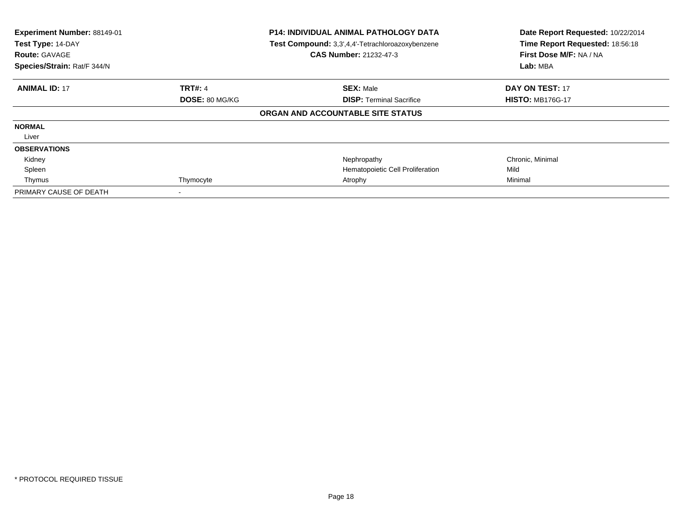| Experiment Number: 88149-01<br>Test Type: 14-DAY<br><b>Route: GAVAGE</b><br>Species/Strain: Rat/F 344/N |                | <b>P14: INDIVIDUAL ANIMAL PATHOLOGY DATA</b><br>Test Compound: 3,3',4,4'-Tetrachloroazoxybenzene<br><b>CAS Number: 21232-47-3</b> | Date Report Requested: 10/22/2014<br>Time Report Requested: 18:56:18<br>First Dose M/F: NA / NA<br>Lab: MBA |
|---------------------------------------------------------------------------------------------------------|----------------|-----------------------------------------------------------------------------------------------------------------------------------|-------------------------------------------------------------------------------------------------------------|
| <b>ANIMAL ID: 17</b>                                                                                    | <b>TRT#: 4</b> | <b>SEX: Male</b>                                                                                                                  | <b>DAY ON TEST: 17</b>                                                                                      |
|                                                                                                         | DOSE: 80 MG/KG | <b>DISP:</b> Terminal Sacrifice                                                                                                   | <b>HISTO: MB176G-17</b>                                                                                     |
|                                                                                                         |                | ORGAN AND ACCOUNTABLE SITE STATUS                                                                                                 |                                                                                                             |
| <b>NORMAL</b>                                                                                           |                |                                                                                                                                   |                                                                                                             |
| Liver                                                                                                   |                |                                                                                                                                   |                                                                                                             |
| <b>OBSERVATIONS</b>                                                                                     |                |                                                                                                                                   |                                                                                                             |
| Kidney                                                                                                  |                | Nephropathy                                                                                                                       | Chronic, Minimal                                                                                            |
| Spleen                                                                                                  |                | Hematopoietic Cell Proliferation                                                                                                  | Mild                                                                                                        |
| Thymus                                                                                                  | Thymocyte      | Atrophy                                                                                                                           | Minimal                                                                                                     |
| PRIMARY CAUSE OF DEATH                                                                                  |                |                                                                                                                                   |                                                                                                             |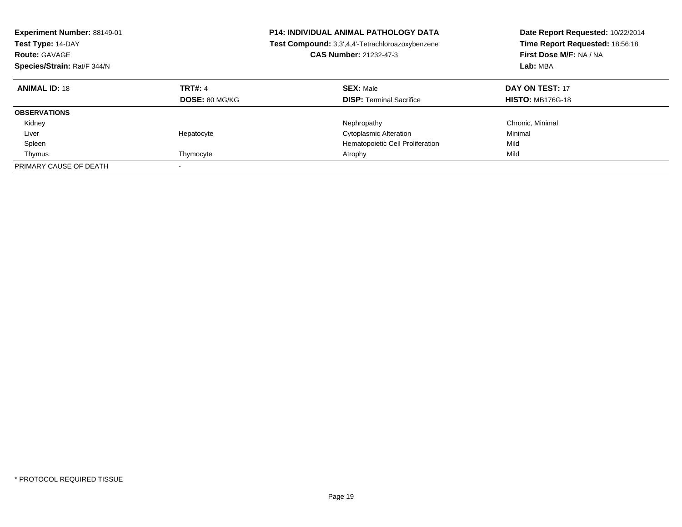| Experiment Number: 88149-01<br>Test Type: 14-DAY<br><b>Route: GAVAGE</b><br>Species/Strain: Rat/F 344/N |                                         | <b>P14: INDIVIDUAL ANIMAL PATHOLOGY DATA</b><br>Test Compound: 3,3',4,4'-Tetrachloroazoxybenzene<br><b>CAS Number: 21232-47-3</b> | Date Report Requested: 10/22/2014<br>Time Report Requested: 18:56:18<br>First Dose M/F: NA / NA<br>Lab: MBA |
|---------------------------------------------------------------------------------------------------------|-----------------------------------------|-----------------------------------------------------------------------------------------------------------------------------------|-------------------------------------------------------------------------------------------------------------|
| <b>ANIMAL ID: 18</b>                                                                                    | <b>TRT#: 4</b><br><b>DOSE: 80 MG/KG</b> | <b>SEX: Male</b><br><b>DISP:</b> Terminal Sacrifice                                                                               | DAY ON TEST: 17<br><b>HISTO: MB176G-18</b>                                                                  |
| <b>OBSERVATIONS</b>                                                                                     |                                         |                                                                                                                                   |                                                                                                             |
| Kidney                                                                                                  |                                         | Nephropathy                                                                                                                       | Chronic, Minimal                                                                                            |
| Liver                                                                                                   | Hepatocyte                              | <b>Cytoplasmic Alteration</b>                                                                                                     | Minimal                                                                                                     |
| Spleen                                                                                                  |                                         | Hematopoietic Cell Proliferation                                                                                                  | Mild                                                                                                        |
| Thymus                                                                                                  | Thymocyte                               | Atrophy                                                                                                                           | Mild                                                                                                        |
| PRIMARY CAUSE OF DEATH                                                                                  |                                         |                                                                                                                                   |                                                                                                             |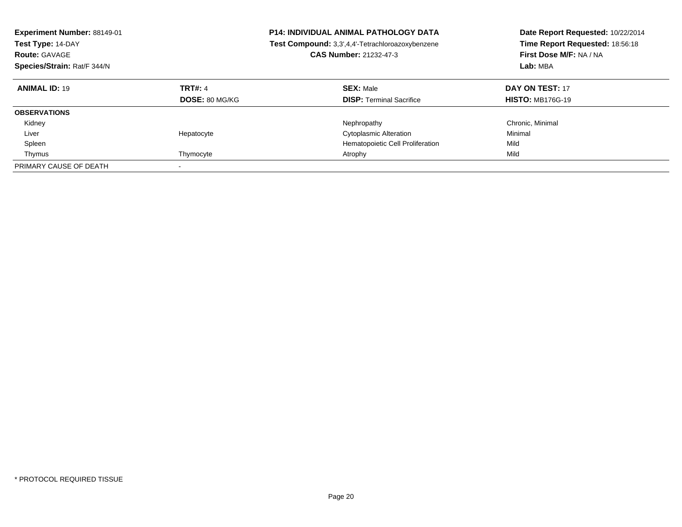| Experiment Number: 88149-01<br>Test Type: 14-DAY<br><b>Route: GAVAGE</b><br>Species/Strain: Rat/F 344/N |                                         | <b>P14: INDIVIDUAL ANIMAL PATHOLOGY DATA</b><br>Test Compound: 3,3',4,4'-Tetrachloroazoxybenzene<br><b>CAS Number: 21232-47-3</b> | Date Report Requested: 10/22/2014<br>Time Report Requested: 18:56:18<br>First Dose M/F: NA / NA<br>Lab: MBA |
|---------------------------------------------------------------------------------------------------------|-----------------------------------------|-----------------------------------------------------------------------------------------------------------------------------------|-------------------------------------------------------------------------------------------------------------|
| <b>ANIMAL ID: 19</b>                                                                                    | <b>TRT#: 4</b><br><b>DOSE: 80 MG/KG</b> | <b>SEX: Male</b><br><b>DISP:</b> Terminal Sacrifice                                                                               | DAY ON TEST: 17<br><b>HISTO: MB176G-19</b>                                                                  |
| <b>OBSERVATIONS</b>                                                                                     |                                         |                                                                                                                                   |                                                                                                             |
| Kidney                                                                                                  |                                         | Nephropathy                                                                                                                       | Chronic, Minimal                                                                                            |
| Liver                                                                                                   | Hepatocyte                              | <b>Cytoplasmic Alteration</b>                                                                                                     | Minimal                                                                                                     |
| Spleen                                                                                                  |                                         | Hematopoietic Cell Proliferation                                                                                                  | Mild                                                                                                        |
| Thymus                                                                                                  | Thymocyte                               | Atrophy                                                                                                                           | Mild                                                                                                        |
| PRIMARY CAUSE OF DEATH                                                                                  |                                         |                                                                                                                                   |                                                                                                             |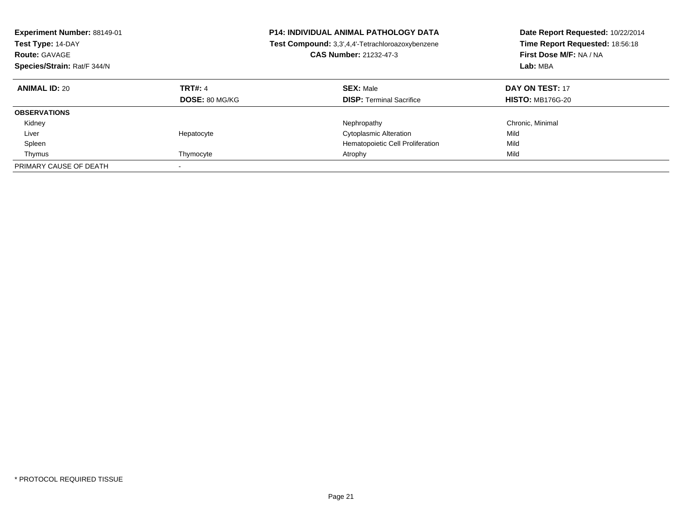| Experiment Number: 88149-01<br>Test Type: 14-DAY<br><b>Route: GAVAGE</b><br>Species/Strain: Rat/F 344/N |                                         | <b>P14: INDIVIDUAL ANIMAL PATHOLOGY DATA</b><br>Test Compound: 3,3',4,4'-Tetrachloroazoxybenzene<br><b>CAS Number: 21232-47-3</b> | Date Report Requested: 10/22/2014<br>Time Report Requested: 18:56:18<br>First Dose M/F: NA / NA<br>Lab: MBA |
|---------------------------------------------------------------------------------------------------------|-----------------------------------------|-----------------------------------------------------------------------------------------------------------------------------------|-------------------------------------------------------------------------------------------------------------|
| <b>ANIMAL ID: 20</b>                                                                                    | <b>TRT#: 4</b><br><b>DOSE: 80 MG/KG</b> | <b>SEX: Male</b><br><b>DISP:</b> Terminal Sacrifice                                                                               | DAY ON TEST: 17<br><b>HISTO: MB176G-20</b>                                                                  |
| <b>OBSERVATIONS</b>                                                                                     |                                         |                                                                                                                                   |                                                                                                             |
| Kidney                                                                                                  |                                         | Nephropathy                                                                                                                       | Chronic, Minimal                                                                                            |
| Liver                                                                                                   | Hepatocyte                              | <b>Cytoplasmic Alteration</b>                                                                                                     | Mild                                                                                                        |
| Spleen                                                                                                  |                                         | Hematopoietic Cell Proliferation                                                                                                  | Mild                                                                                                        |
| Thymus                                                                                                  | Thymocyte                               | Atrophy                                                                                                                           | Mild                                                                                                        |
| PRIMARY CAUSE OF DEATH                                                                                  |                                         |                                                                                                                                   |                                                                                                             |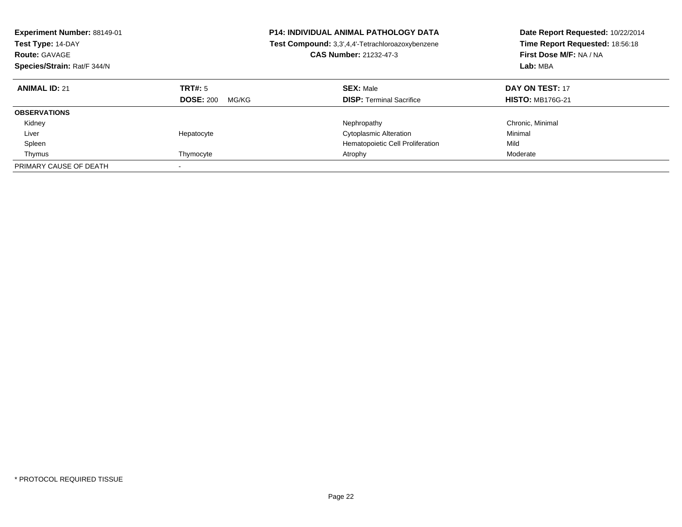| <b>Experiment Number: 88149-01</b><br>Test Type: 14-DAY<br><b>Route: GAVAGE</b><br>Species/Strain: Rat/F 344/N |                                      | <b>P14: INDIVIDUAL ANIMAL PATHOLOGY DATA</b><br>Test Compound: 3,3',4,4'-Tetrachloroazoxybenzene<br><b>CAS Number: 21232-47-3</b> | Date Report Requested: 10/22/2014<br>Time Report Requested: 18:56:18<br>First Dose M/F: NA / NA<br>Lab: MBA |
|----------------------------------------------------------------------------------------------------------------|--------------------------------------|-----------------------------------------------------------------------------------------------------------------------------------|-------------------------------------------------------------------------------------------------------------|
| <b>ANIMAL ID: 21</b>                                                                                           | TRT#: 5<br><b>DOSE: 200</b><br>MG/KG | <b>SEX: Male</b><br><b>DISP:</b> Terminal Sacrifice                                                                               | DAY ON TEST: 17<br><b>HISTO: MB176G-21</b>                                                                  |
| <b>OBSERVATIONS</b>                                                                                            |                                      |                                                                                                                                   |                                                                                                             |
| Kidney                                                                                                         |                                      | Nephropathy                                                                                                                       | Chronic, Minimal                                                                                            |
| Liver                                                                                                          | Hepatocyte                           | <b>Cytoplasmic Alteration</b>                                                                                                     | Minimal                                                                                                     |
| Spleen                                                                                                         |                                      | Hematopoietic Cell Proliferation                                                                                                  | Mild                                                                                                        |
| Thymus                                                                                                         | Thymocyte                            | Atrophy                                                                                                                           | Moderate                                                                                                    |
| PRIMARY CAUSE OF DEATH                                                                                         |                                      |                                                                                                                                   |                                                                                                             |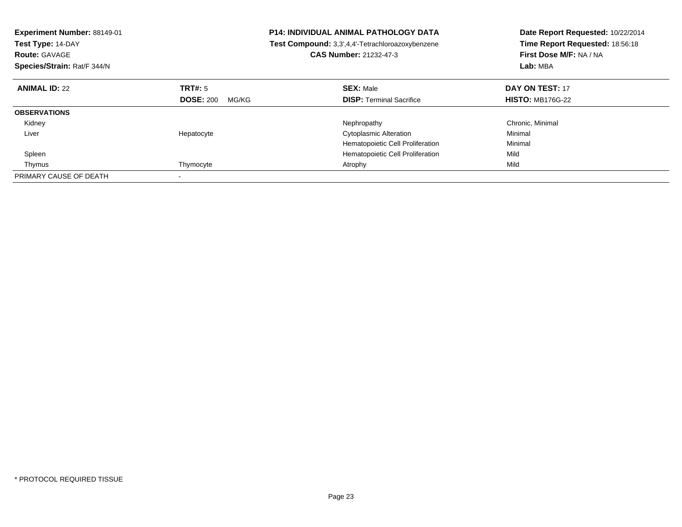| <b>Experiment Number: 88149-01</b><br>Test Type: 14-DAY<br><b>Route: GAVAGE</b><br>Species/Strain: Rat/F 344/N |                           | <b>P14: INDIVIDUAL ANIMAL PATHOLOGY DATA</b><br>Test Compound: 3,3',4,4'-Tetrachloroazoxybenzene<br><b>CAS Number: 21232-47-3</b> | Date Report Requested: 10/22/2014<br>Time Report Requested: 18:56:18<br>First Dose M/F: NA / NA<br>Lab: MBA |
|----------------------------------------------------------------------------------------------------------------|---------------------------|-----------------------------------------------------------------------------------------------------------------------------------|-------------------------------------------------------------------------------------------------------------|
| <b>ANIMAL ID: 22</b>                                                                                           | TRT#: 5                   | <b>SEX: Male</b>                                                                                                                  | DAY ON TEST: 17                                                                                             |
|                                                                                                                | <b>DOSE: 200</b><br>MG/KG | <b>DISP:</b> Terminal Sacrifice                                                                                                   | <b>HISTO: MB176G-22</b>                                                                                     |
| <b>OBSERVATIONS</b>                                                                                            |                           |                                                                                                                                   |                                                                                                             |
| Kidney                                                                                                         |                           | Nephropathy                                                                                                                       | Chronic, Minimal                                                                                            |
| Liver                                                                                                          | Hepatocyte                | <b>Cytoplasmic Alteration</b>                                                                                                     | Minimal                                                                                                     |
|                                                                                                                |                           | Hematopoietic Cell Proliferation                                                                                                  | Minimal                                                                                                     |
| Spleen                                                                                                         |                           | Hematopoietic Cell Proliferation                                                                                                  | Mild                                                                                                        |
| Thymus                                                                                                         | Thymocyte                 | Atrophy                                                                                                                           | Mild                                                                                                        |
| PRIMARY CAUSE OF DEATH                                                                                         |                           |                                                                                                                                   |                                                                                                             |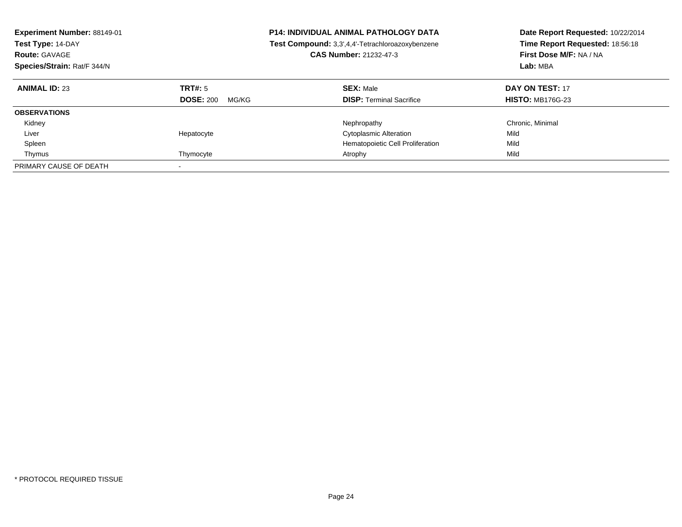| Experiment Number: 88149-01<br>Test Type: 14-DAY<br><b>Route: GAVAGE</b><br>Species/Strain: Rat/F 344/N |                                      | <b>P14: INDIVIDUAL ANIMAL PATHOLOGY DATA</b><br>Test Compound: 3,3',4,4'-Tetrachloroazoxybenzene<br><b>CAS Number: 21232-47-3</b> | Date Report Requested: 10/22/2014<br>Time Report Requested: 18:56:18<br>First Dose M/F: NA / NA<br>Lab: MBA |
|---------------------------------------------------------------------------------------------------------|--------------------------------------|-----------------------------------------------------------------------------------------------------------------------------------|-------------------------------------------------------------------------------------------------------------|
| <b>ANIMAL ID: 23</b>                                                                                    | TRT#: 5<br><b>DOSE: 200</b><br>MG/KG | <b>SEX: Male</b><br><b>DISP:</b> Terminal Sacrifice                                                                               | DAY ON TEST: 17<br><b>HISTO: MB176G-23</b>                                                                  |
| <b>OBSERVATIONS</b>                                                                                     |                                      |                                                                                                                                   |                                                                                                             |
| Kidney                                                                                                  |                                      | Nephropathy                                                                                                                       | Chronic, Minimal                                                                                            |
| Liver                                                                                                   | Hepatocyte                           | <b>Cytoplasmic Alteration</b>                                                                                                     | Mild                                                                                                        |
| Spleen                                                                                                  |                                      | Hematopoietic Cell Proliferation                                                                                                  | Mild                                                                                                        |
| Thymus                                                                                                  | Thymocyte                            | Atrophy                                                                                                                           | Mild                                                                                                        |
| PRIMARY CAUSE OF DEATH                                                                                  |                                      |                                                                                                                                   |                                                                                                             |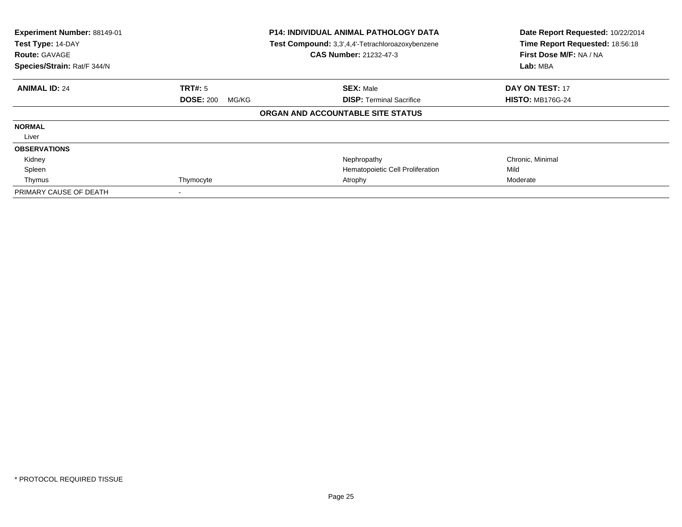| Experiment Number: 88149-01<br>Test Type: 14-DAY<br><b>Route: GAVAGE</b><br>Species/Strain: Rat/F 344/N | <b>P14: INDIVIDUAL ANIMAL PATHOLOGY DATA</b><br>Test Compound: 3,3',4,4'-Tetrachloroazoxybenzene<br><b>CAS Number: 21232-47-3</b> |                                   | Date Report Requested: 10/22/2014<br>Time Report Requested: 18:56:18<br>First Dose M/F: NA / NA<br>Lab: MBA |
|---------------------------------------------------------------------------------------------------------|-----------------------------------------------------------------------------------------------------------------------------------|-----------------------------------|-------------------------------------------------------------------------------------------------------------|
| <b>ANIMAL ID: 24</b>                                                                                    | <b>TRT#:</b> 5                                                                                                                    | <b>SEX: Male</b>                  | <b>DAY ON TEST: 17</b>                                                                                      |
|                                                                                                         | <b>DOSE: 200</b><br>MG/KG                                                                                                         | <b>DISP:</b> Terminal Sacrifice   | <b>HISTO: MB176G-24</b>                                                                                     |
|                                                                                                         |                                                                                                                                   | ORGAN AND ACCOUNTABLE SITE STATUS |                                                                                                             |
| <b>NORMAL</b>                                                                                           |                                                                                                                                   |                                   |                                                                                                             |
| Liver                                                                                                   |                                                                                                                                   |                                   |                                                                                                             |
| <b>OBSERVATIONS</b>                                                                                     |                                                                                                                                   |                                   |                                                                                                             |
| Kidney                                                                                                  |                                                                                                                                   | Nephropathy                       | Chronic, Minimal                                                                                            |
| Spleen                                                                                                  |                                                                                                                                   | Hematopoietic Cell Proliferation  | Mild                                                                                                        |
| Thymus                                                                                                  | Thymocyte                                                                                                                         | Atrophy                           | Moderate                                                                                                    |
| PRIMARY CAUSE OF DEATH                                                                                  |                                                                                                                                   |                                   |                                                                                                             |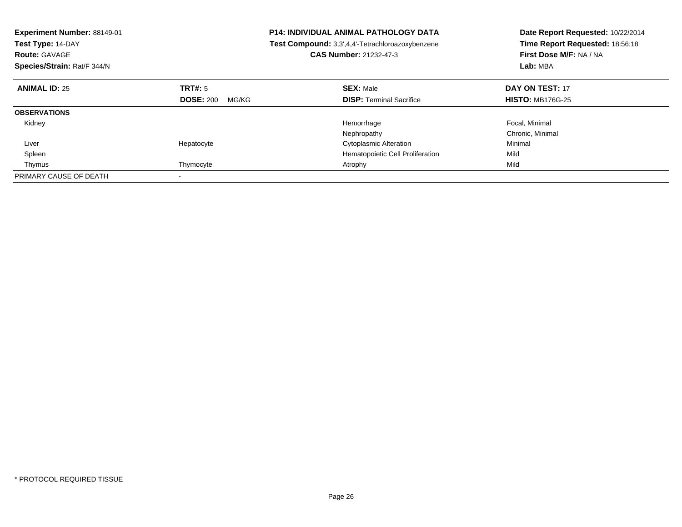| <b>Experiment Number: 88149-01</b><br>Test Type: 14-DAY<br><b>Route: GAVAGE</b><br>Species/Strain: Rat/F 344/N |                           | <b>P14: INDIVIDUAL ANIMAL PATHOLOGY DATA</b><br>Test Compound: 3,3',4,4'-Tetrachloroazoxybenzene<br>CAS Number: 21232-47-3 | Date Report Requested: 10/22/2014<br>Time Report Requested: 18:56:18<br>First Dose M/F: NA / NA<br>Lab: MBA |
|----------------------------------------------------------------------------------------------------------------|---------------------------|----------------------------------------------------------------------------------------------------------------------------|-------------------------------------------------------------------------------------------------------------|
| <b>ANIMAL ID: 25</b>                                                                                           | TRT#: 5                   | <b>SEX: Male</b>                                                                                                           | DAY ON TEST: 17                                                                                             |
|                                                                                                                | <b>DOSE: 200</b><br>MG/KG | <b>DISP:</b> Terminal Sacrifice                                                                                            | <b>HISTO: MB176G-25</b>                                                                                     |
| <b>OBSERVATIONS</b>                                                                                            |                           |                                                                                                                            |                                                                                                             |
| Kidney                                                                                                         |                           | Hemorrhage                                                                                                                 | Focal, Minimal                                                                                              |
|                                                                                                                |                           | Nephropathy                                                                                                                | Chronic, Minimal                                                                                            |
| Liver                                                                                                          | Hepatocyte                | <b>Cytoplasmic Alteration</b>                                                                                              | Minimal                                                                                                     |
| Spleen                                                                                                         |                           | Hematopoietic Cell Proliferation                                                                                           | Mild                                                                                                        |
| Thymus                                                                                                         | Thymocyte                 | Atrophy                                                                                                                    | Mild                                                                                                        |
| PRIMARY CAUSE OF DEATH                                                                                         |                           |                                                                                                                            |                                                                                                             |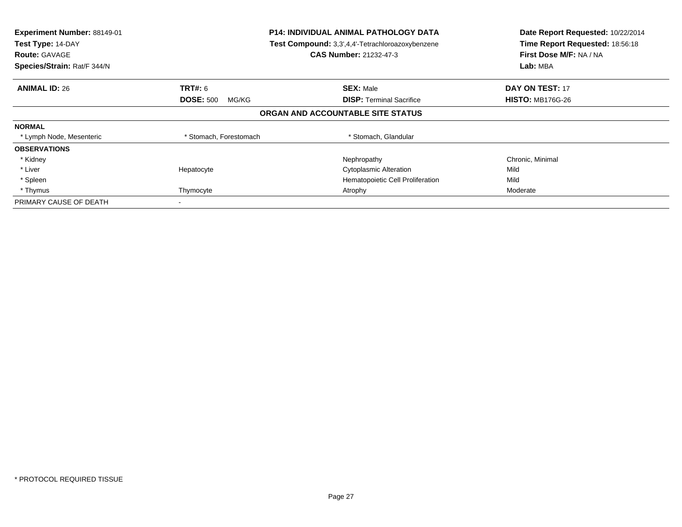| Experiment Number: 88149-01<br>Test Type: 14-DAY<br><b>Route: GAVAGE</b><br>Species/Strain: Rat/F 344/N | <b>P14: INDIVIDUAL ANIMAL PATHOLOGY DATA</b><br>Test Compound: 3,3',4,4'-Tetrachloroazoxybenzene<br><b>CAS Number: 21232-47-3</b> |                                                     | Date Report Requested: 10/22/2014<br>Time Report Requested: 18:56:18<br>First Dose M/F: NA / NA<br>Lab: MBA |
|---------------------------------------------------------------------------------------------------------|-----------------------------------------------------------------------------------------------------------------------------------|-----------------------------------------------------|-------------------------------------------------------------------------------------------------------------|
| <b>ANIMAL ID: 26</b>                                                                                    | <b>TRT#:</b> 6<br><b>DOSE: 500</b><br>MG/KG                                                                                       | <b>SEX: Male</b><br><b>DISP: Terminal Sacrifice</b> | <b>DAY ON TEST: 17</b><br><b>HISTO: MB176G-26</b>                                                           |
|                                                                                                         |                                                                                                                                   | ORGAN AND ACCOUNTABLE SITE STATUS                   |                                                                                                             |
| <b>NORMAL</b>                                                                                           |                                                                                                                                   |                                                     |                                                                                                             |
| * Lymph Node, Mesenteric                                                                                | * Stomach, Forestomach                                                                                                            | * Stomach, Glandular                                |                                                                                                             |
| <b>OBSERVATIONS</b>                                                                                     |                                                                                                                                   |                                                     |                                                                                                             |
| * Kidney                                                                                                |                                                                                                                                   | Nephropathy                                         | Chronic, Minimal                                                                                            |
| * Liver                                                                                                 | Hepatocyte                                                                                                                        | <b>Cytoplasmic Alteration</b>                       | Mild                                                                                                        |
| * Spleen                                                                                                |                                                                                                                                   | Hematopoietic Cell Proliferation                    | Mild                                                                                                        |
| * Thymus                                                                                                | Thymocyte                                                                                                                         | Atrophy                                             | Moderate                                                                                                    |
| PRIMARY CAUSE OF DEATH                                                                                  |                                                                                                                                   |                                                     |                                                                                                             |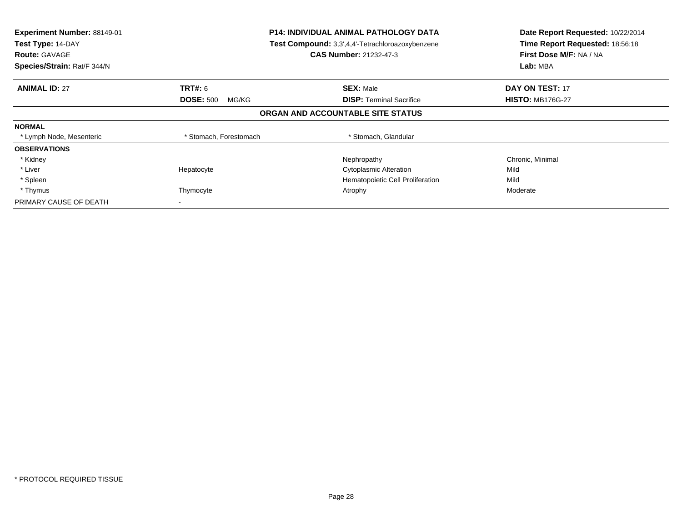| Experiment Number: 88149-01<br>Test Type: 14-DAY<br><b>Route: GAVAGE</b><br>Species/Strain: Rat/F 344/N | <b>P14: INDIVIDUAL ANIMAL PATHOLOGY DATA</b><br>Test Compound: 3,3',4,4'-Tetrachloroazoxybenzene<br><b>CAS Number: 21232-47-3</b> |                                                     | Date Report Requested: 10/22/2014<br>Time Report Requested: 18:56:18<br>First Dose M/F: NA / NA<br>Lab: MBA |
|---------------------------------------------------------------------------------------------------------|-----------------------------------------------------------------------------------------------------------------------------------|-----------------------------------------------------|-------------------------------------------------------------------------------------------------------------|
| <b>ANIMAL ID: 27</b>                                                                                    | <b>TRT#:</b> 6<br><b>DOSE: 500</b><br>MG/KG                                                                                       | <b>SEX: Male</b><br><b>DISP: Terminal Sacrifice</b> | <b>DAY ON TEST: 17</b><br><b>HISTO: MB176G-27</b>                                                           |
|                                                                                                         |                                                                                                                                   | ORGAN AND ACCOUNTABLE SITE STATUS                   |                                                                                                             |
| <b>NORMAL</b>                                                                                           |                                                                                                                                   |                                                     |                                                                                                             |
| * Lymph Node, Mesenteric                                                                                | * Stomach, Forestomach                                                                                                            | * Stomach, Glandular                                |                                                                                                             |
| <b>OBSERVATIONS</b>                                                                                     |                                                                                                                                   |                                                     |                                                                                                             |
| * Kidney                                                                                                |                                                                                                                                   | Nephropathy                                         | Chronic, Minimal                                                                                            |
| * Liver                                                                                                 | Hepatocyte                                                                                                                        | <b>Cytoplasmic Alteration</b>                       | Mild                                                                                                        |
| * Spleen                                                                                                |                                                                                                                                   | Hematopoietic Cell Proliferation                    | Mild                                                                                                        |
| * Thymus                                                                                                | Thymocyte                                                                                                                         | Atrophy                                             | Moderate                                                                                                    |
| PRIMARY CAUSE OF DEATH                                                                                  |                                                                                                                                   |                                                     |                                                                                                             |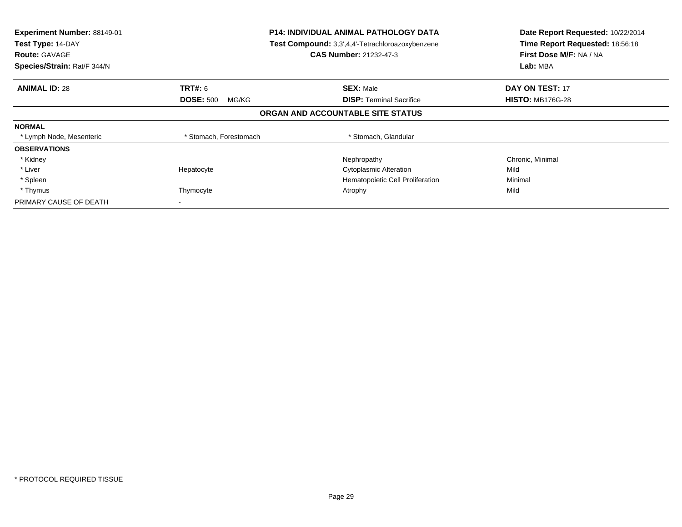| Experiment Number: 88149-01<br>Test Type: 14-DAY<br><b>Route: GAVAGE</b><br>Species/Strain: Rat/F 344/N | <b>P14: INDIVIDUAL ANIMAL PATHOLOGY DATA</b><br>Test Compound: 3,3',4,4'-Tetrachloroazoxybenzene<br><b>CAS Number: 21232-47-3</b> |                                                     | Date Report Requested: 10/22/2014<br>Time Report Requested: 18:56:18<br>First Dose M/F: NA / NA<br>Lab: MBA |
|---------------------------------------------------------------------------------------------------------|-----------------------------------------------------------------------------------------------------------------------------------|-----------------------------------------------------|-------------------------------------------------------------------------------------------------------------|
| <b>ANIMAL ID: 28</b>                                                                                    | <b>TRT#:</b> 6<br><b>DOSE: 500</b><br>MG/KG                                                                                       | <b>SEX: Male</b><br><b>DISP: Terminal Sacrifice</b> | <b>DAY ON TEST: 17</b><br><b>HISTO: MB176G-28</b>                                                           |
|                                                                                                         |                                                                                                                                   | ORGAN AND ACCOUNTABLE SITE STATUS                   |                                                                                                             |
| <b>NORMAL</b>                                                                                           |                                                                                                                                   |                                                     |                                                                                                             |
| * Lymph Node, Mesenteric                                                                                | * Stomach, Forestomach                                                                                                            | * Stomach, Glandular                                |                                                                                                             |
| <b>OBSERVATIONS</b>                                                                                     |                                                                                                                                   |                                                     |                                                                                                             |
| * Kidney                                                                                                |                                                                                                                                   | Nephropathy                                         | Chronic, Minimal                                                                                            |
| * Liver                                                                                                 | Hepatocyte                                                                                                                        | <b>Cytoplasmic Alteration</b>                       | Mild                                                                                                        |
| * Spleen                                                                                                |                                                                                                                                   | Hematopoietic Cell Proliferation                    | Minimal                                                                                                     |
| * Thymus                                                                                                | Thymocyte                                                                                                                         | Atrophy                                             | Mild                                                                                                        |
| PRIMARY CAUSE OF DEATH                                                                                  |                                                                                                                                   |                                                     |                                                                                                             |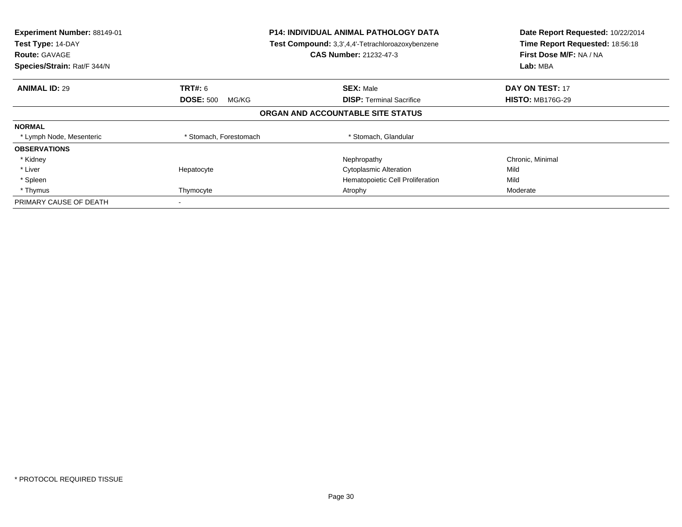| Experiment Number: 88149-01<br>Test Type: 14-DAY<br><b>Route: GAVAGE</b><br>Species/Strain: Rat/F 344/N | <b>P14: INDIVIDUAL ANIMAL PATHOLOGY DATA</b><br>Test Compound: 3,3',4,4'-Tetrachloroazoxybenzene<br><b>CAS Number: 21232-47-3</b> |                                                     | Date Report Requested: 10/22/2014<br>Time Report Requested: 18:56:18<br>First Dose M/F: NA / NA<br>Lab: MBA |
|---------------------------------------------------------------------------------------------------------|-----------------------------------------------------------------------------------------------------------------------------------|-----------------------------------------------------|-------------------------------------------------------------------------------------------------------------|
| <b>ANIMAL ID: 29</b>                                                                                    | <b>TRT#:</b> 6<br><b>DOSE: 500</b><br>MG/KG                                                                                       | <b>SEX: Male</b><br><b>DISP: Terminal Sacrifice</b> | <b>DAY ON TEST: 17</b><br><b>HISTO: MB176G-29</b>                                                           |
|                                                                                                         |                                                                                                                                   | ORGAN AND ACCOUNTABLE SITE STATUS                   |                                                                                                             |
| <b>NORMAL</b>                                                                                           |                                                                                                                                   |                                                     |                                                                                                             |
| * Lymph Node, Mesenteric                                                                                | * Stomach, Forestomach                                                                                                            | * Stomach, Glandular                                |                                                                                                             |
| <b>OBSERVATIONS</b>                                                                                     |                                                                                                                                   |                                                     |                                                                                                             |
| * Kidney                                                                                                |                                                                                                                                   | Nephropathy                                         | Chronic, Minimal                                                                                            |
| * Liver                                                                                                 | Hepatocyte                                                                                                                        | <b>Cytoplasmic Alteration</b>                       | Mild                                                                                                        |
| * Spleen                                                                                                |                                                                                                                                   | Hematopoietic Cell Proliferation                    | Mild                                                                                                        |
| * Thymus                                                                                                | Thymocyte                                                                                                                         | Atrophy                                             | Moderate                                                                                                    |
| PRIMARY CAUSE OF DEATH                                                                                  |                                                                                                                                   |                                                     |                                                                                                             |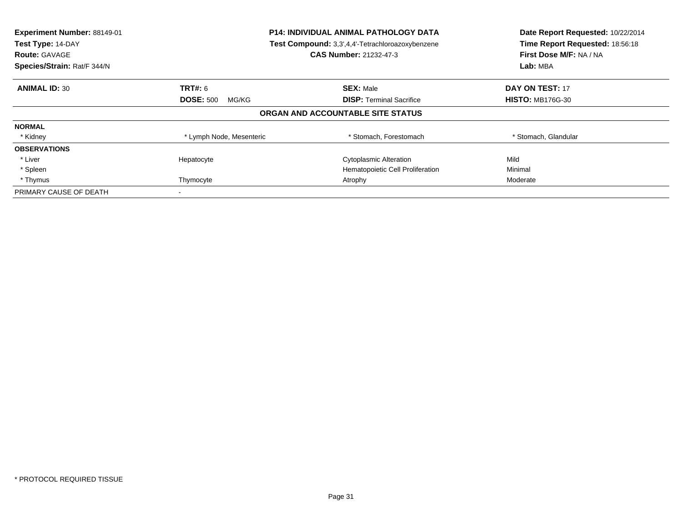| Experiment Number: 88149-01<br>Test Type: 14-DAY<br><b>Route: GAVAGE</b><br>Species/Strain: Rat/F 344/N | <b>P14: INDIVIDUAL ANIMAL PATHOLOGY DATA</b><br>Test Compound: 3,3',4,4'-Tetrachloroazoxybenzene<br><b>CAS Number: 21232-47-3</b> |                                   | Date Report Requested: 10/22/2014<br>Time Report Requested: 18:56:18<br>First Dose M/F: NA / NA<br>Lab: MBA |
|---------------------------------------------------------------------------------------------------------|-----------------------------------------------------------------------------------------------------------------------------------|-----------------------------------|-------------------------------------------------------------------------------------------------------------|
| <b>ANIMAL ID: 30</b>                                                                                    | <b>TRT#: 6</b>                                                                                                                    | <b>SEX: Male</b>                  | <b>DAY ON TEST: 17</b>                                                                                      |
|                                                                                                         | <b>DOSE: 500</b><br>MG/KG                                                                                                         | <b>DISP:</b> Terminal Sacrifice   | <b>HISTO: MB176G-30</b>                                                                                     |
|                                                                                                         |                                                                                                                                   | ORGAN AND ACCOUNTABLE SITE STATUS |                                                                                                             |
| <b>NORMAL</b>                                                                                           |                                                                                                                                   |                                   |                                                                                                             |
| * Kidney                                                                                                | * Lymph Node, Mesenteric                                                                                                          | * Stomach, Forestomach            | * Stomach, Glandular                                                                                        |
| <b>OBSERVATIONS</b>                                                                                     |                                                                                                                                   |                                   |                                                                                                             |
| * Liver                                                                                                 | Hepatocyte                                                                                                                        | <b>Cytoplasmic Alteration</b>     | Mild                                                                                                        |
| * Spleen                                                                                                |                                                                                                                                   | Hematopoietic Cell Proliferation  | Minimal                                                                                                     |
| * Thymus                                                                                                | Thymocyte                                                                                                                         | Atrophy                           | Moderate                                                                                                    |
| PRIMARY CAUSE OF DEATH                                                                                  |                                                                                                                                   |                                   |                                                                                                             |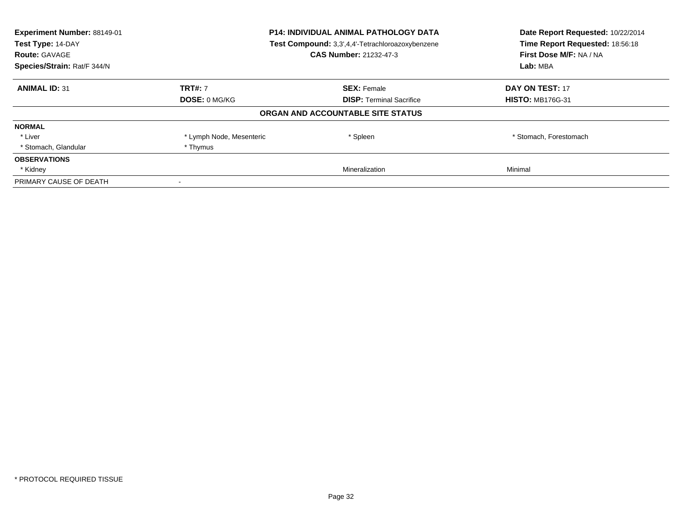| Experiment Number: 88149-01<br>Test Type: 14-DAY<br><b>Route: GAVAGE</b> | <b>P14: INDIVIDUAL ANIMAL PATHOLOGY DATA</b><br>Test Compound: 3,3',4,4'-Tetrachloroazoxybenzene<br><b>CAS Number: 21232-47-3</b> |                                   | Date Report Requested: 10/22/2014<br>Time Report Requested: 18:56:18<br>First Dose M/F: NA / NA |  |
|--------------------------------------------------------------------------|-----------------------------------------------------------------------------------------------------------------------------------|-----------------------------------|-------------------------------------------------------------------------------------------------|--|
| Species/Strain: Rat/F 344/N                                              |                                                                                                                                   |                                   | Lab: MBA                                                                                        |  |
| <b>ANIMAL ID: 31</b>                                                     | <b>TRT#: 7</b>                                                                                                                    | <b>SEX: Female</b>                | DAY ON TEST: 17                                                                                 |  |
|                                                                          | <b>DOSE: 0 MG/KG</b>                                                                                                              | <b>DISP:</b> Terminal Sacrifice   | <b>HISTO: MB176G-31</b>                                                                         |  |
|                                                                          |                                                                                                                                   | ORGAN AND ACCOUNTABLE SITE STATUS |                                                                                                 |  |
| <b>NORMAL</b>                                                            |                                                                                                                                   |                                   |                                                                                                 |  |
| * Liver                                                                  | * Lymph Node, Mesenteric                                                                                                          | * Spleen                          | * Stomach, Forestomach                                                                          |  |
| * Stomach, Glandular                                                     | * Thymus                                                                                                                          |                                   |                                                                                                 |  |
| <b>OBSERVATIONS</b>                                                      |                                                                                                                                   |                                   |                                                                                                 |  |
| * Kidney                                                                 |                                                                                                                                   | Mineralization                    | Minimal                                                                                         |  |
| PRIMARY CAUSE OF DEATH                                                   |                                                                                                                                   |                                   |                                                                                                 |  |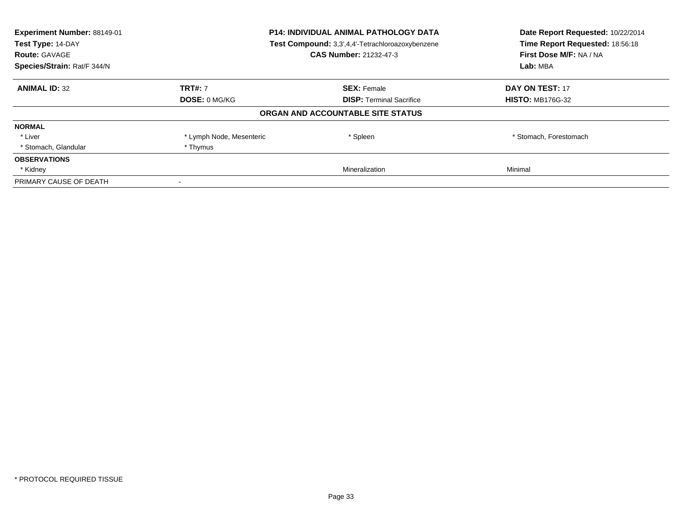| Experiment Number: 88149-01<br>Test Type: 14-DAY<br><b>Route: GAVAGE</b> | <b>P14: INDIVIDUAL ANIMAL PATHOLOGY DATA</b><br>Test Compound: 3,3',4,4'-Tetrachloroazoxybenzene<br><b>CAS Number: 21232-47-3</b> |                                   | Date Report Requested: 10/22/2014<br>Time Report Requested: 18:56:18<br>First Dose M/F: NA / NA |  |
|--------------------------------------------------------------------------|-----------------------------------------------------------------------------------------------------------------------------------|-----------------------------------|-------------------------------------------------------------------------------------------------|--|
| Species/Strain: Rat/F 344/N                                              |                                                                                                                                   |                                   | Lab: MBA                                                                                        |  |
| <b>ANIMAL ID: 32</b>                                                     | <b>TRT#: 7</b>                                                                                                                    | <b>SEX: Female</b>                | DAY ON TEST: 17                                                                                 |  |
|                                                                          | DOSE: 0 MG/KG                                                                                                                     | <b>DISP:</b> Terminal Sacrifice   | <b>HISTO: MB176G-32</b>                                                                         |  |
|                                                                          |                                                                                                                                   | ORGAN AND ACCOUNTABLE SITE STATUS |                                                                                                 |  |
| <b>NORMAL</b>                                                            |                                                                                                                                   |                                   |                                                                                                 |  |
| * Liver                                                                  | * Lymph Node, Mesenteric                                                                                                          | * Spleen                          | * Stomach, Forestomach                                                                          |  |
| * Stomach, Glandular                                                     | * Thymus                                                                                                                          |                                   |                                                                                                 |  |
| <b>OBSERVATIONS</b>                                                      |                                                                                                                                   |                                   |                                                                                                 |  |
| * Kidney                                                                 |                                                                                                                                   | Mineralization                    | Minimal                                                                                         |  |
| PRIMARY CAUSE OF DEATH                                                   |                                                                                                                                   |                                   |                                                                                                 |  |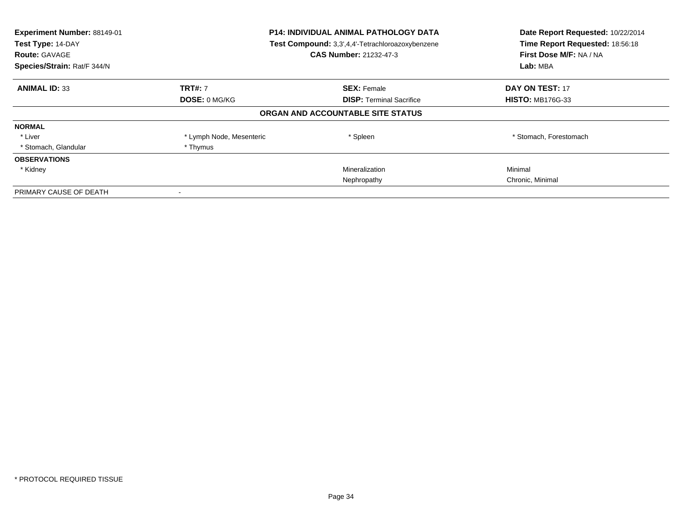| Experiment Number: 88149-01<br>Test Type: 14-DAY<br><b>Route: GAVAGE</b><br>Species/Strain: Rat/F 344/N | <b>P14: INDIVIDUAL ANIMAL PATHOLOGY DATA</b><br>Test Compound: 3,3',4,4'-Tetrachloroazoxybenzene<br><b>CAS Number: 21232-47-3</b> |                                   | Date Report Requested: 10/22/2014<br>Time Report Requested: 18:56:18<br>First Dose M/F: NA / NA<br>Lab: MBA |
|---------------------------------------------------------------------------------------------------------|-----------------------------------------------------------------------------------------------------------------------------------|-----------------------------------|-------------------------------------------------------------------------------------------------------------|
| <b>ANIMAL ID: 33</b>                                                                                    | <b>TRT#: 7</b>                                                                                                                    | <b>SEX: Female</b>                | DAY ON TEST: 17                                                                                             |
|                                                                                                         | DOSE: 0 MG/KG                                                                                                                     | <b>DISP:</b> Terminal Sacrifice   | <b>HISTO: MB176G-33</b>                                                                                     |
|                                                                                                         |                                                                                                                                   | ORGAN AND ACCOUNTABLE SITE STATUS |                                                                                                             |
| <b>NORMAL</b>                                                                                           |                                                                                                                                   |                                   |                                                                                                             |
| * Liver                                                                                                 | * Lymph Node, Mesenteric                                                                                                          | * Spleen                          | * Stomach, Forestomach                                                                                      |
| * Stomach, Glandular                                                                                    | * Thymus                                                                                                                          |                                   |                                                                                                             |
| <b>OBSERVATIONS</b>                                                                                     |                                                                                                                                   |                                   |                                                                                                             |
| * Kidney                                                                                                |                                                                                                                                   | Mineralization                    | Minimal                                                                                                     |
|                                                                                                         |                                                                                                                                   | Nephropathy                       | Chronic, Minimal                                                                                            |
| PRIMARY CAUSE OF DEATH                                                                                  |                                                                                                                                   |                                   |                                                                                                             |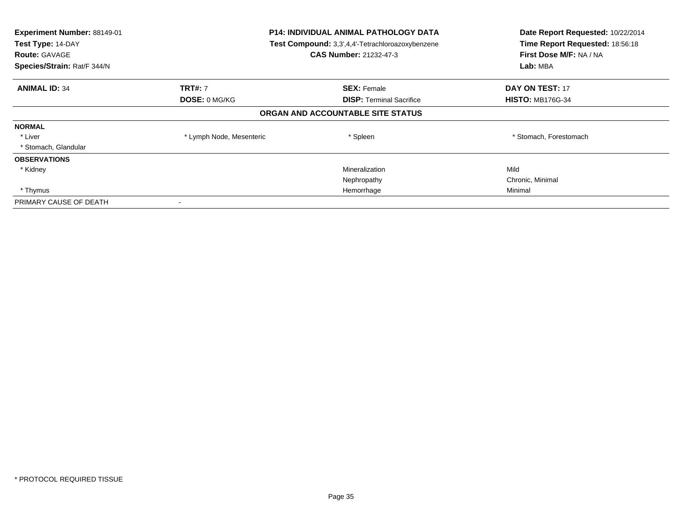| Experiment Number: 88149-01<br>Test Type: 14-DAY<br><b>Route: GAVAGE</b><br>Species/Strain: Rat/F 344/N | <b>P14: INDIVIDUAL ANIMAL PATHOLOGY DATA</b><br>Test Compound: 3,3',4,4'-Tetrachloroazoxybenzene<br>CAS Number: 21232-47-3 |                                   | Date Report Requested: 10/22/2014<br>Time Report Requested: 18:56:18<br>First Dose M/F: NA / NA<br>Lab: MBA |
|---------------------------------------------------------------------------------------------------------|----------------------------------------------------------------------------------------------------------------------------|-----------------------------------|-------------------------------------------------------------------------------------------------------------|
| <b>ANIMAL ID: 34</b>                                                                                    | <b>TRT#: 7</b>                                                                                                             | <b>SEX: Female</b>                | <b>DAY ON TEST: 17</b>                                                                                      |
|                                                                                                         | <b>DOSE: 0 MG/KG</b>                                                                                                       | <b>DISP:</b> Terminal Sacrifice   | <b>HISTO: MB176G-34</b>                                                                                     |
|                                                                                                         |                                                                                                                            | ORGAN AND ACCOUNTABLE SITE STATUS |                                                                                                             |
| <b>NORMAL</b>                                                                                           |                                                                                                                            |                                   |                                                                                                             |
| * Liver                                                                                                 | * Lymph Node, Mesenteric                                                                                                   | * Spleen                          | * Stomach, Forestomach                                                                                      |
| * Stomach, Glandular                                                                                    |                                                                                                                            |                                   |                                                                                                             |
| <b>OBSERVATIONS</b>                                                                                     |                                                                                                                            |                                   |                                                                                                             |
| * Kidney                                                                                                |                                                                                                                            | Mineralization                    | Mild                                                                                                        |
|                                                                                                         |                                                                                                                            | Nephropathy                       | Chronic, Minimal                                                                                            |
| * Thymus                                                                                                |                                                                                                                            | Hemorrhage                        | Minimal                                                                                                     |
| PRIMARY CAUSE OF DEATH                                                                                  |                                                                                                                            |                                   |                                                                                                             |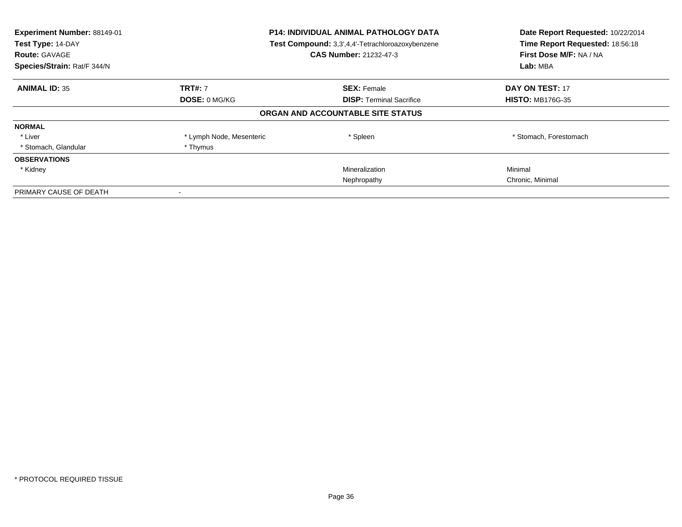| Experiment Number: 88149-01<br>Test Type: 14-DAY<br><b>Route: GAVAGE</b><br>Species/Strain: Rat/F 344/N | <b>P14: INDIVIDUAL ANIMAL PATHOLOGY DATA</b><br>Test Compound: 3,3',4,4'-Tetrachloroazoxybenzene<br><b>CAS Number: 21232-47-3</b> |                                   | Date Report Requested: 10/22/2014<br>Time Report Requested: 18:56:18<br>First Dose M/F: NA / NA<br>Lab: MBA |
|---------------------------------------------------------------------------------------------------------|-----------------------------------------------------------------------------------------------------------------------------------|-----------------------------------|-------------------------------------------------------------------------------------------------------------|
| <b>ANIMAL ID: 35</b>                                                                                    | <b>TRT#: 7</b>                                                                                                                    | <b>SEX: Female</b>                | DAY ON TEST: 17                                                                                             |
|                                                                                                         | DOSE: 0 MG/KG                                                                                                                     | <b>DISP:</b> Terminal Sacrifice   | <b>HISTO: MB176G-35</b>                                                                                     |
|                                                                                                         |                                                                                                                                   | ORGAN AND ACCOUNTABLE SITE STATUS |                                                                                                             |
| <b>NORMAL</b>                                                                                           |                                                                                                                                   |                                   |                                                                                                             |
| * Liver                                                                                                 | * Lymph Node, Mesenteric                                                                                                          | * Spleen                          | * Stomach, Forestomach                                                                                      |
| * Stomach, Glandular                                                                                    | * Thymus                                                                                                                          |                                   |                                                                                                             |
| <b>OBSERVATIONS</b>                                                                                     |                                                                                                                                   |                                   |                                                                                                             |
| * Kidney                                                                                                |                                                                                                                                   | Mineralization                    | Minimal                                                                                                     |
|                                                                                                         |                                                                                                                                   | Nephropathy                       | Chronic, Minimal                                                                                            |
| PRIMARY CAUSE OF DEATH                                                                                  |                                                                                                                                   |                                   |                                                                                                             |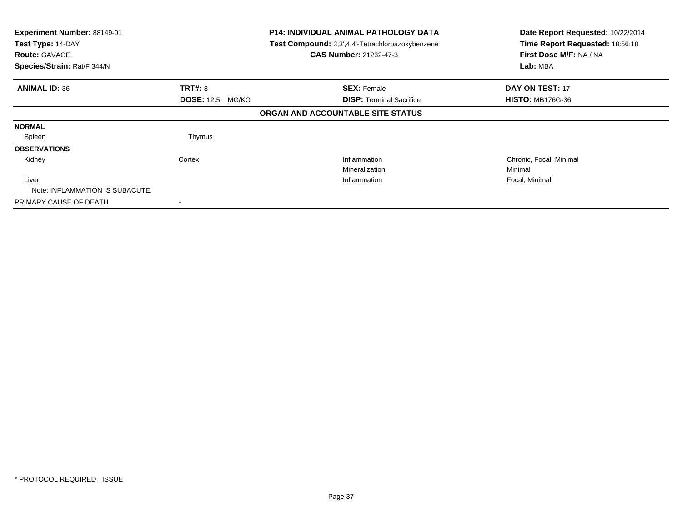| Experiment Number: 88149-01<br>Test Type: 14-DAY<br><b>Route: GAVAGE</b><br>Species/Strain: Rat/F 344/N |                         | <b>P14: INDIVIDUAL ANIMAL PATHOLOGY DATA</b><br>Test Compound: 3,3',4,4'-Tetrachloroazoxybenzene<br><b>CAS Number: 21232-47-3</b> | Date Report Requested: 10/22/2014<br>Time Report Requested: 18:56:18<br>First Dose M/F: NA / NA<br>Lab: MBA |
|---------------------------------------------------------------------------------------------------------|-------------------------|-----------------------------------------------------------------------------------------------------------------------------------|-------------------------------------------------------------------------------------------------------------|
|                                                                                                         |                         |                                                                                                                                   |                                                                                                             |
| <b>ANIMAL ID: 36</b>                                                                                    | <b>TRT#: 8</b>          | <b>SEX: Female</b>                                                                                                                | <b>DAY ON TEST: 17</b>                                                                                      |
|                                                                                                         | <b>DOSE: 12.5 MG/KG</b> | <b>DISP:</b> Terminal Sacrifice                                                                                                   | <b>HISTO: MB176G-36</b>                                                                                     |
|                                                                                                         |                         | ORGAN AND ACCOUNTABLE SITE STATUS                                                                                                 |                                                                                                             |
| <b>NORMAL</b>                                                                                           |                         |                                                                                                                                   |                                                                                                             |
| Spleen                                                                                                  | Thymus                  |                                                                                                                                   |                                                                                                             |
| <b>OBSERVATIONS</b>                                                                                     |                         |                                                                                                                                   |                                                                                                             |
| Kidney                                                                                                  | Cortex                  | Inflammation                                                                                                                      | Chronic, Focal, Minimal                                                                                     |
|                                                                                                         |                         | Mineralization                                                                                                                    | Minimal                                                                                                     |
| Liver                                                                                                   |                         | Inflammation                                                                                                                      | Focal, Minimal                                                                                              |
| Note: INFLAMMATION IS SUBACUTE.                                                                         |                         |                                                                                                                                   |                                                                                                             |
| PRIMARY CAUSE OF DEATH                                                                                  |                         |                                                                                                                                   |                                                                                                             |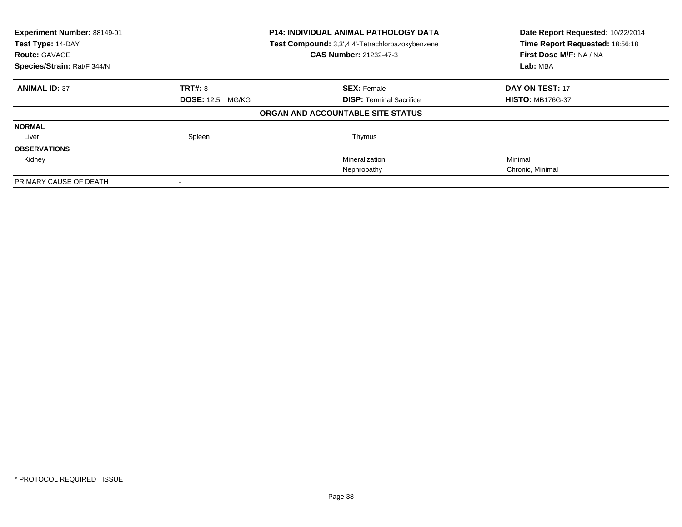| Experiment Number: 88149-01<br>Test Type: 14-DAY<br><b>Route: GAVAGE</b> | <b>P14: INDIVIDUAL ANIMAL PATHOLOGY DATA</b><br>Test Compound: 3,3',4,4'-Tetrachloroazoxybenzene<br>CAS Number: 21232-47-3 |                                   | Date Report Requested: 10/22/2014<br>Time Report Requested: 18:56:18<br>First Dose M/F: NA / NA |
|--------------------------------------------------------------------------|----------------------------------------------------------------------------------------------------------------------------|-----------------------------------|-------------------------------------------------------------------------------------------------|
| Species/Strain: Rat/F 344/N                                              |                                                                                                                            |                                   | Lab: MBA                                                                                        |
| <b>ANIMAL ID: 37</b>                                                     | TRT#: 8                                                                                                                    | <b>SEX: Female</b>                | DAY ON TEST: 17                                                                                 |
|                                                                          | <b>DOSE: 12.5 MG/KG</b>                                                                                                    | <b>DISP:</b> Terminal Sacrifice   | <b>HISTO: MB176G-37</b>                                                                         |
|                                                                          |                                                                                                                            | ORGAN AND ACCOUNTABLE SITE STATUS |                                                                                                 |
| <b>NORMAL</b>                                                            |                                                                                                                            |                                   |                                                                                                 |
| Liver                                                                    | Spleen                                                                                                                     | Thymus                            |                                                                                                 |
| <b>OBSERVATIONS</b>                                                      |                                                                                                                            |                                   |                                                                                                 |
| Kidney                                                                   |                                                                                                                            | Mineralization                    | Minimal                                                                                         |
|                                                                          |                                                                                                                            | Nephropathy                       | Chronic, Minimal                                                                                |
| PRIMARY CAUSE OF DEATH                                                   |                                                                                                                            |                                   |                                                                                                 |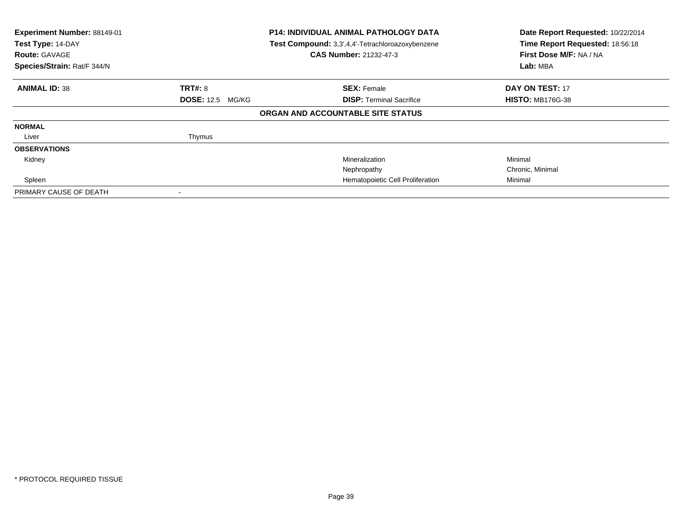| Experiment Number: 88149-01<br>Test Type: 14-DAY<br><b>Route: GAVAGE</b><br>Species/Strain: Rat/F 344/N |                         | <b>P14: INDIVIDUAL ANIMAL PATHOLOGY DATA</b><br>Test Compound: 3,3',4,4'-Tetrachloroazoxybenzene<br><b>CAS Number: 21232-47-3</b> | Date Report Requested: 10/22/2014<br>Time Report Requested: 18:56:18<br>First Dose M/F: NA / NA<br>Lab: MBA |
|---------------------------------------------------------------------------------------------------------|-------------------------|-----------------------------------------------------------------------------------------------------------------------------------|-------------------------------------------------------------------------------------------------------------|
| <b>ANIMAL ID: 38</b>                                                                                    | <b>TRT#: 8</b>          | <b>SEX: Female</b>                                                                                                                | DAY ON TEST: 17                                                                                             |
|                                                                                                         | <b>DOSE: 12.5 MG/KG</b> | <b>DISP:</b> Terminal Sacrifice                                                                                                   | <b>HISTO: MB176G-38</b>                                                                                     |
|                                                                                                         |                         | ORGAN AND ACCOUNTABLE SITE STATUS                                                                                                 |                                                                                                             |
| <b>NORMAL</b>                                                                                           |                         |                                                                                                                                   |                                                                                                             |
| Liver                                                                                                   | Thymus                  |                                                                                                                                   |                                                                                                             |
| <b>OBSERVATIONS</b>                                                                                     |                         |                                                                                                                                   |                                                                                                             |
| Kidney                                                                                                  |                         | Mineralization                                                                                                                    | Minimal                                                                                                     |
|                                                                                                         |                         | Nephropathy                                                                                                                       | Chronic, Minimal                                                                                            |
| Spleen                                                                                                  |                         | Hematopoietic Cell Proliferation                                                                                                  | Minimal                                                                                                     |
| PRIMARY CAUSE OF DEATH                                                                                  |                         |                                                                                                                                   |                                                                                                             |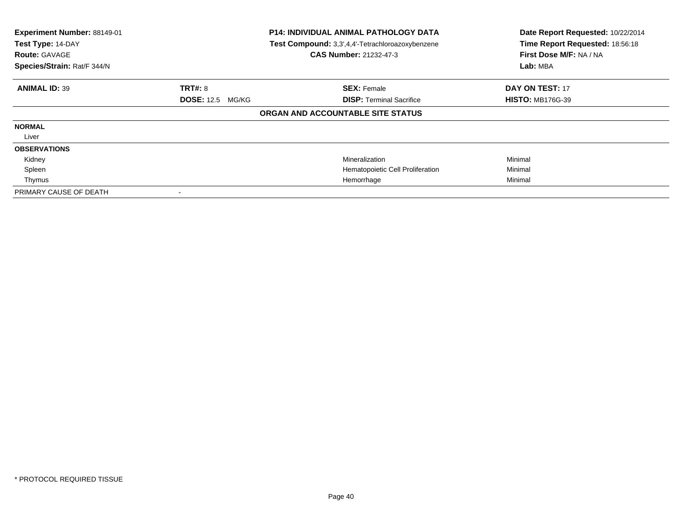| Experiment Number: 88149-01<br>Test Type: 14-DAY<br><b>Route: GAVAGE</b><br>Species/Strain: Rat/F 344/N |                         | P14: INDIVIDUAL ANIMAL PATHOLOGY DATA<br>Test Compound: 3,3',4,4'-Tetrachloroazoxybenzene<br><b>CAS Number: 21232-47-3</b> | Date Report Requested: 10/22/2014<br>Time Report Requested: 18:56:18<br>First Dose M/F: NA / NA<br>Lab: MBA |
|---------------------------------------------------------------------------------------------------------|-------------------------|----------------------------------------------------------------------------------------------------------------------------|-------------------------------------------------------------------------------------------------------------|
| <b>ANIMAL ID: 39</b>                                                                                    | <b>TRT#: 8</b>          | <b>SEX: Female</b>                                                                                                         | <b>DAY ON TEST: 17</b>                                                                                      |
|                                                                                                         | <b>DOSE: 12.5 MG/KG</b> | <b>DISP:</b> Terminal Sacrifice                                                                                            | <b>HISTO: MB176G-39</b>                                                                                     |
|                                                                                                         |                         | ORGAN AND ACCOUNTABLE SITE STATUS                                                                                          |                                                                                                             |
| <b>NORMAL</b>                                                                                           |                         |                                                                                                                            |                                                                                                             |
| Liver                                                                                                   |                         |                                                                                                                            |                                                                                                             |
| <b>OBSERVATIONS</b>                                                                                     |                         |                                                                                                                            |                                                                                                             |
| Kidney                                                                                                  |                         | Mineralization                                                                                                             | Minimal                                                                                                     |
| Spleen                                                                                                  |                         | Hematopoietic Cell Proliferation                                                                                           | Minimal                                                                                                     |
| Thymus                                                                                                  |                         | Hemorrhage                                                                                                                 | Minimal                                                                                                     |
| PRIMARY CAUSE OF DEATH                                                                                  |                         |                                                                                                                            |                                                                                                             |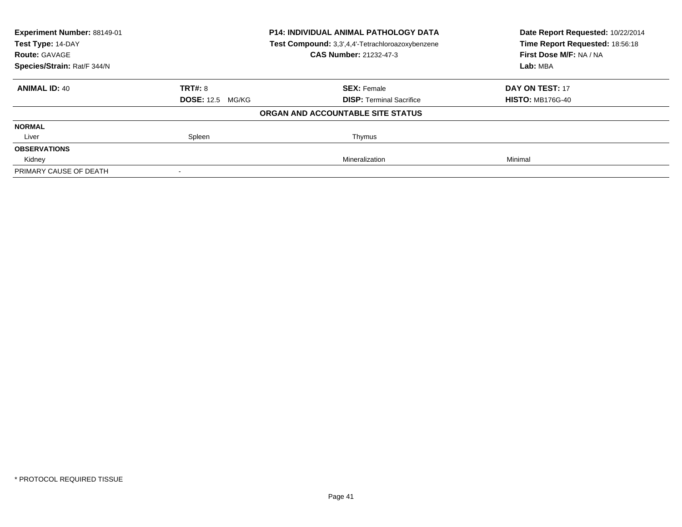| <b>Experiment Number: 88149-01</b> |                         | P14: INDIVIDUAL ANIMAL PATHOLOGY DATA            | Date Report Requested: 10/22/2014<br>Time Report Requested: 18:56:18 |
|------------------------------------|-------------------------|--------------------------------------------------|----------------------------------------------------------------------|
| Test Type: 14-DAY                  |                         | Test Compound: 3,3',4,4'-Tetrachloroazoxybenzene |                                                                      |
| <b>Route: GAVAGE</b>               |                         | <b>CAS Number: 21232-47-3</b>                    | First Dose M/F: NA / NA                                              |
| Species/Strain: Rat/F 344/N        |                         |                                                  | Lab: MBA                                                             |
| <b>ANIMAL ID: 40</b>               | TRT#: 8                 | <b>SEX: Female</b>                               | DAY ON TEST: 17                                                      |
|                                    | <b>DOSE: 12.5 MG/KG</b> | <b>DISP:</b> Terminal Sacrifice                  | <b>HISTO: MB176G-40</b>                                              |
|                                    |                         | ORGAN AND ACCOUNTABLE SITE STATUS                |                                                                      |
| <b>NORMAL</b>                      |                         |                                                  |                                                                      |
| Liver                              | Spleen                  | Thymus                                           |                                                                      |
| <b>OBSERVATIONS</b>                |                         |                                                  |                                                                      |
| Kidney                             |                         | Mineralization                                   | Minimal                                                              |
| PRIMARY CAUSE OF DEATH             |                         |                                                  |                                                                      |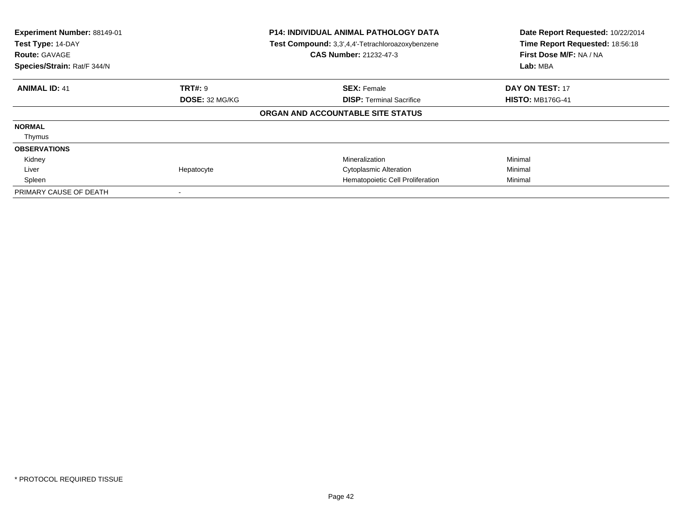| Experiment Number: 88149-01<br>Test Type: 14-DAY<br><b>Route: GAVAGE</b><br>Species/Strain: Rat/F 344/N |                | <b>P14: INDIVIDUAL ANIMAL PATHOLOGY DATA</b><br>Test Compound: 3,3',4,4'-Tetrachloroazoxybenzene<br><b>CAS Number: 21232-47-3</b> | Date Report Requested: 10/22/2014<br>Time Report Requested: 18:56:18<br>First Dose M/F: NA / NA<br>Lab: MBA |
|---------------------------------------------------------------------------------------------------------|----------------|-----------------------------------------------------------------------------------------------------------------------------------|-------------------------------------------------------------------------------------------------------------|
| <b>ANIMAL ID: 41</b>                                                                                    | <b>TRT#: 9</b> | <b>SEX: Female</b>                                                                                                                | <b>DAY ON TEST: 17</b>                                                                                      |
|                                                                                                         | DOSE: 32 MG/KG | <b>DISP:</b> Terminal Sacrifice                                                                                                   | <b>HISTO: MB176G-41</b>                                                                                     |
|                                                                                                         |                | ORGAN AND ACCOUNTABLE SITE STATUS                                                                                                 |                                                                                                             |
| <b>NORMAL</b>                                                                                           |                |                                                                                                                                   |                                                                                                             |
| Thymus                                                                                                  |                |                                                                                                                                   |                                                                                                             |
| <b>OBSERVATIONS</b>                                                                                     |                |                                                                                                                                   |                                                                                                             |
| Kidney                                                                                                  |                | Mineralization                                                                                                                    | Minimal                                                                                                     |
| Liver                                                                                                   | Hepatocyte     | <b>Cytoplasmic Alteration</b>                                                                                                     | Minimal                                                                                                     |
| Spleen                                                                                                  |                | Hematopoietic Cell Proliferation                                                                                                  | Minimal                                                                                                     |
| PRIMARY CAUSE OF DEATH                                                                                  |                |                                                                                                                                   |                                                                                                             |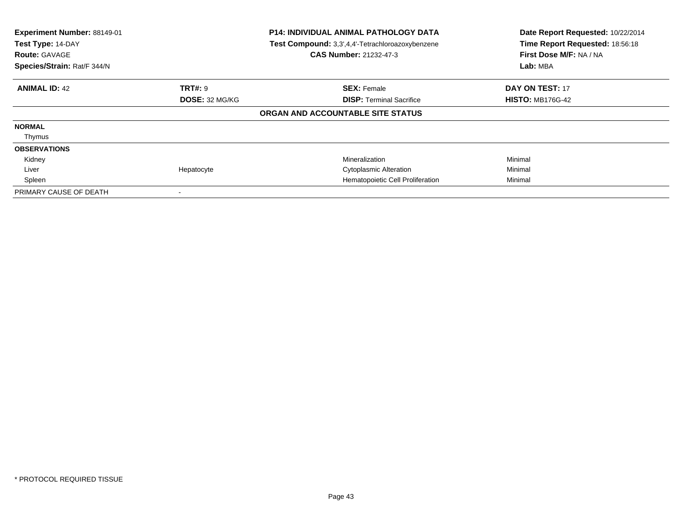| Experiment Number: 88149-01<br>Test Type: 14-DAY<br><b>Route: GAVAGE</b><br>Species/Strain: Rat/F 344/N |                | <b>P14: INDIVIDUAL ANIMAL PATHOLOGY DATA</b><br>Test Compound: 3,3',4,4'-Tetrachloroazoxybenzene<br><b>CAS Number: 21232-47-3</b> | Date Report Requested: 10/22/2014<br>Time Report Requested: 18:56:18<br>First Dose M/F: NA / NA<br>Lab: MBA |
|---------------------------------------------------------------------------------------------------------|----------------|-----------------------------------------------------------------------------------------------------------------------------------|-------------------------------------------------------------------------------------------------------------|
| <b>ANIMAL ID: 42</b>                                                                                    | <b>TRT#: 9</b> | <b>SEX: Female</b>                                                                                                                | <b>DAY ON TEST: 17</b>                                                                                      |
|                                                                                                         | DOSE: 32 MG/KG | <b>DISP:</b> Terminal Sacrifice                                                                                                   | <b>HISTO: MB176G-42</b>                                                                                     |
|                                                                                                         |                | ORGAN AND ACCOUNTABLE SITE STATUS                                                                                                 |                                                                                                             |
| <b>NORMAL</b>                                                                                           |                |                                                                                                                                   |                                                                                                             |
| Thymus                                                                                                  |                |                                                                                                                                   |                                                                                                             |
| <b>OBSERVATIONS</b>                                                                                     |                |                                                                                                                                   |                                                                                                             |
| Kidney                                                                                                  |                | Mineralization                                                                                                                    | Minimal                                                                                                     |
| Liver                                                                                                   | Hepatocyte     | <b>Cytoplasmic Alteration</b>                                                                                                     | Minimal                                                                                                     |
| Spleen                                                                                                  |                | Hematopoietic Cell Proliferation                                                                                                  | Minimal                                                                                                     |
| PRIMARY CAUSE OF DEATH                                                                                  |                |                                                                                                                                   |                                                                                                             |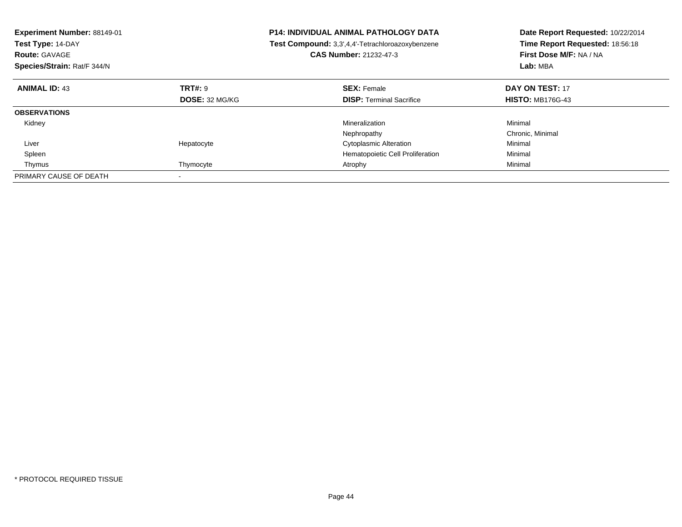| Experiment Number: 88149-01<br>Test Type: 14-DAY<br><b>Route: GAVAGE</b><br>Species/Strain: Rat/F 344/N |                | <b>P14: INDIVIDUAL ANIMAL PATHOLOGY DATA</b><br>Test Compound: 3,3',4,4'-Tetrachloroazoxybenzene<br><b>CAS Number: 21232-47-3</b> | Date Report Requested: 10/22/2014<br>Time Report Requested: 18:56:18<br>First Dose M/F: NA / NA<br>Lab: MBA |
|---------------------------------------------------------------------------------------------------------|----------------|-----------------------------------------------------------------------------------------------------------------------------------|-------------------------------------------------------------------------------------------------------------|
| <b>ANIMAL ID: 43</b>                                                                                    | TRT#: 9        | <b>SEX: Female</b>                                                                                                                | DAY ON TEST: 17                                                                                             |
|                                                                                                         | DOSE: 32 MG/KG | <b>DISP:</b> Terminal Sacrifice                                                                                                   | <b>HISTO: MB176G-43</b>                                                                                     |
| <b>OBSERVATIONS</b>                                                                                     |                |                                                                                                                                   |                                                                                                             |
| Kidney                                                                                                  |                | Mineralization                                                                                                                    | Minimal                                                                                                     |
|                                                                                                         |                | Nephropathy                                                                                                                       | Chronic, Minimal                                                                                            |
| Liver                                                                                                   | Hepatocyte     | <b>Cytoplasmic Alteration</b>                                                                                                     | Minimal                                                                                                     |
| Spleen                                                                                                  |                | Hematopoietic Cell Proliferation                                                                                                  | Minimal                                                                                                     |
| Thymus                                                                                                  | Thymocyte      | Atrophy                                                                                                                           | Minimal                                                                                                     |
| PRIMARY CAUSE OF DEATH                                                                                  |                |                                                                                                                                   |                                                                                                             |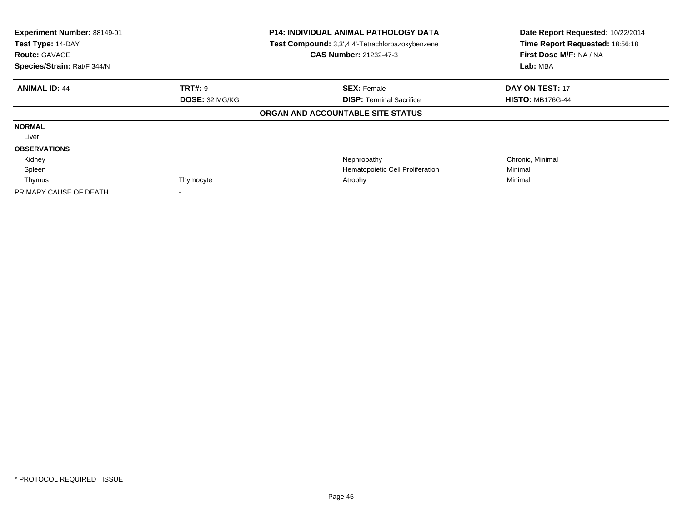| Experiment Number: 88149-01<br>Test Type: 14-DAY<br><b>Route: GAVAGE</b><br>Species/Strain: Rat/F 344/N |                       | <b>P14: INDIVIDUAL ANIMAL PATHOLOGY DATA</b><br>Test Compound: 3,3',4,4'-Tetrachloroazoxybenzene<br><b>CAS Number: 21232-47-3</b> | Date Report Requested: 10/22/2014<br>Time Report Requested: 18:56:18<br>First Dose M/F: NA / NA<br>Lab: MBA |
|---------------------------------------------------------------------------------------------------------|-----------------------|-----------------------------------------------------------------------------------------------------------------------------------|-------------------------------------------------------------------------------------------------------------|
| <b>ANIMAL ID: 44</b>                                                                                    | <b>TRT#:</b> 9        | <b>SEX: Female</b>                                                                                                                | <b>DAY ON TEST: 17</b>                                                                                      |
|                                                                                                         | <b>DOSE: 32 MG/KG</b> | <b>DISP:</b> Terminal Sacrifice                                                                                                   | <b>HISTO: MB176G-44</b>                                                                                     |
|                                                                                                         |                       | ORGAN AND ACCOUNTABLE SITE STATUS                                                                                                 |                                                                                                             |
| <b>NORMAL</b>                                                                                           |                       |                                                                                                                                   |                                                                                                             |
| Liver                                                                                                   |                       |                                                                                                                                   |                                                                                                             |
| <b>OBSERVATIONS</b>                                                                                     |                       |                                                                                                                                   |                                                                                                             |
| Kidney                                                                                                  |                       | Nephropathy                                                                                                                       | Chronic, Minimal                                                                                            |
| Spleen                                                                                                  |                       | Hematopoietic Cell Proliferation                                                                                                  | Minimal                                                                                                     |
| Thymus                                                                                                  | Thymocyte             | Atrophy                                                                                                                           | Minimal                                                                                                     |
| PRIMARY CAUSE OF DEATH                                                                                  |                       |                                                                                                                                   |                                                                                                             |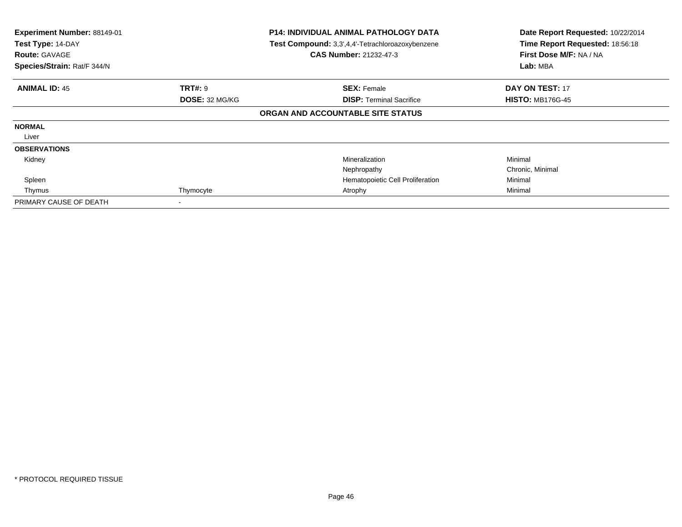| Experiment Number: 88149-01<br>Test Type: 14-DAY<br><b>Route: GAVAGE</b><br>Species/Strain: Rat/F 344/N |                | <b>P14: INDIVIDUAL ANIMAL PATHOLOGY DATA</b><br>Test Compound: 3,3',4,4'-Tetrachloroazoxybenzene<br><b>CAS Number: 21232-47-3</b> | Date Report Requested: 10/22/2014<br>Time Report Requested: 18:56:18<br>First Dose M/F: NA / NA<br>Lab: MBA |
|---------------------------------------------------------------------------------------------------------|----------------|-----------------------------------------------------------------------------------------------------------------------------------|-------------------------------------------------------------------------------------------------------------|
| <b>ANIMAL ID: 45</b>                                                                                    | <b>TRT#: 9</b> | <b>SEX: Female</b>                                                                                                                | <b>DAY ON TEST: 17</b>                                                                                      |
|                                                                                                         | DOSE: 32 MG/KG | <b>DISP:</b> Terminal Sacrifice                                                                                                   | <b>HISTO: MB176G-45</b>                                                                                     |
|                                                                                                         |                | ORGAN AND ACCOUNTABLE SITE STATUS                                                                                                 |                                                                                                             |
| <b>NORMAL</b>                                                                                           |                |                                                                                                                                   |                                                                                                             |
| Liver                                                                                                   |                |                                                                                                                                   |                                                                                                             |
| <b>OBSERVATIONS</b>                                                                                     |                |                                                                                                                                   |                                                                                                             |
| Kidney                                                                                                  |                | Mineralization                                                                                                                    | Minimal                                                                                                     |
|                                                                                                         |                | Nephropathy                                                                                                                       | Chronic, Minimal                                                                                            |
| Spleen                                                                                                  |                | Hematopoietic Cell Proliferation                                                                                                  | Minimal                                                                                                     |
| Thymus                                                                                                  | Thymocyte      | Atrophy                                                                                                                           | Minimal                                                                                                     |
| PRIMARY CAUSE OF DEATH                                                                                  |                |                                                                                                                                   |                                                                                                             |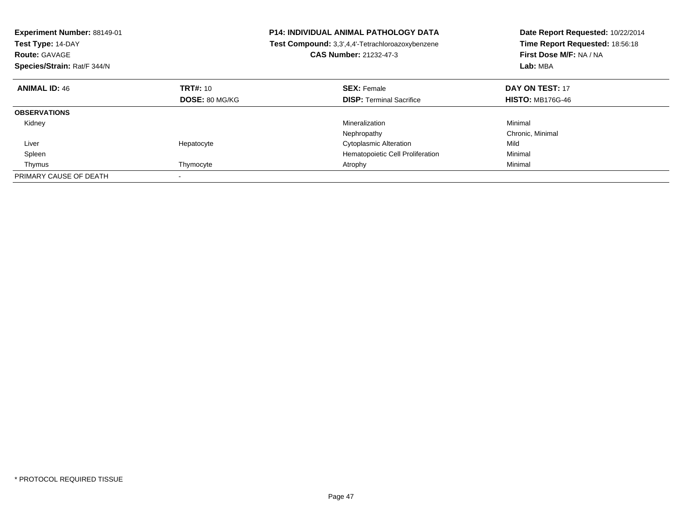| <b>Experiment Number: 88149-01</b><br>Test Type: 14-DAY<br><b>Route: GAVAGE</b><br>Species/Strain: Rat/F 344/N |                | <b>P14: INDIVIDUAL ANIMAL PATHOLOGY DATA</b><br>Test Compound: 3,3',4,4'-Tetrachloroazoxybenzene<br>CAS Number: 21232-47-3 | Date Report Requested: 10/22/2014<br>Time Report Requested: 18:56:18<br>First Dose M/F: NA / NA<br>Lab: MBA |
|----------------------------------------------------------------------------------------------------------------|----------------|----------------------------------------------------------------------------------------------------------------------------|-------------------------------------------------------------------------------------------------------------|
| <b>ANIMAL ID: 46</b>                                                                                           | TRT#: 10       | <b>SEX: Female</b>                                                                                                         | DAY ON TEST: 17                                                                                             |
|                                                                                                                | DOSE: 80 MG/KG | <b>DISP:</b> Terminal Sacrifice                                                                                            | <b>HISTO: MB176G-46</b>                                                                                     |
| <b>OBSERVATIONS</b>                                                                                            |                |                                                                                                                            |                                                                                                             |
| Kidney                                                                                                         |                | Mineralization                                                                                                             | Minimal                                                                                                     |
|                                                                                                                |                | Nephropathy                                                                                                                | Chronic, Minimal                                                                                            |
| Liver                                                                                                          | Hepatocyte     | <b>Cytoplasmic Alteration</b>                                                                                              | Mild                                                                                                        |
| Spleen                                                                                                         |                | Hematopoietic Cell Proliferation                                                                                           | Minimal                                                                                                     |
| Thymus                                                                                                         | Thymocyte      | Atrophy                                                                                                                    | Minimal                                                                                                     |
| PRIMARY CAUSE OF DEATH                                                                                         |                |                                                                                                                            |                                                                                                             |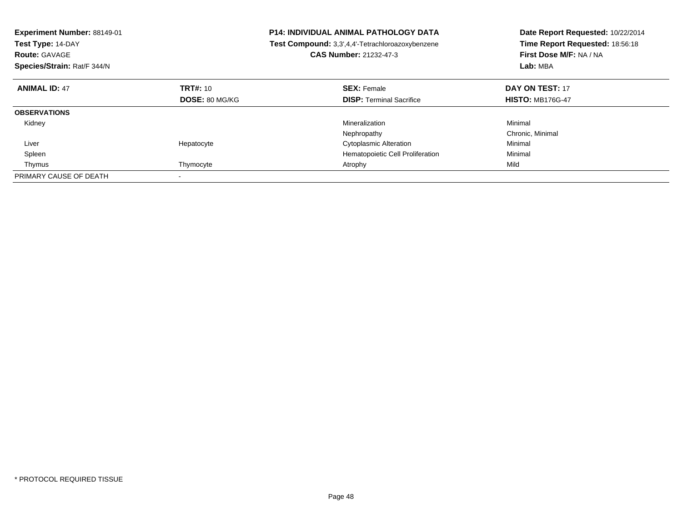| <b>Experiment Number: 88149-01</b><br>Test Type: 14-DAY<br><b>Route: GAVAGE</b><br>Species/Strain: Rat/F 344/N |                | <b>P14: INDIVIDUAL ANIMAL PATHOLOGY DATA</b><br>Test Compound: 3,3',4,4'-Tetrachloroazoxybenzene<br>CAS Number: 21232-47-3 | Date Report Requested: 10/22/2014<br>Time Report Requested: 18:56:18<br>First Dose M/F: NA / NA<br>Lab: MBA |
|----------------------------------------------------------------------------------------------------------------|----------------|----------------------------------------------------------------------------------------------------------------------------|-------------------------------------------------------------------------------------------------------------|
| <b>ANIMAL ID: 47</b>                                                                                           | TRT#: 10       | <b>SEX: Female</b>                                                                                                         | DAY ON TEST: 17                                                                                             |
|                                                                                                                | DOSE: 80 MG/KG | <b>DISP:</b> Terminal Sacrifice                                                                                            | <b>HISTO: MB176G-47</b>                                                                                     |
| <b>OBSERVATIONS</b>                                                                                            |                |                                                                                                                            |                                                                                                             |
| Kidney                                                                                                         |                | Mineralization                                                                                                             | Minimal                                                                                                     |
|                                                                                                                |                | Nephropathy                                                                                                                | Chronic, Minimal                                                                                            |
| Liver                                                                                                          | Hepatocyte     | <b>Cytoplasmic Alteration</b>                                                                                              | Minimal                                                                                                     |
| Spleen                                                                                                         |                | Hematopoietic Cell Proliferation                                                                                           | Minimal                                                                                                     |
| Thymus                                                                                                         | Thymocyte      | Atrophy                                                                                                                    | Mild                                                                                                        |
| PRIMARY CAUSE OF DEATH                                                                                         |                |                                                                                                                            |                                                                                                             |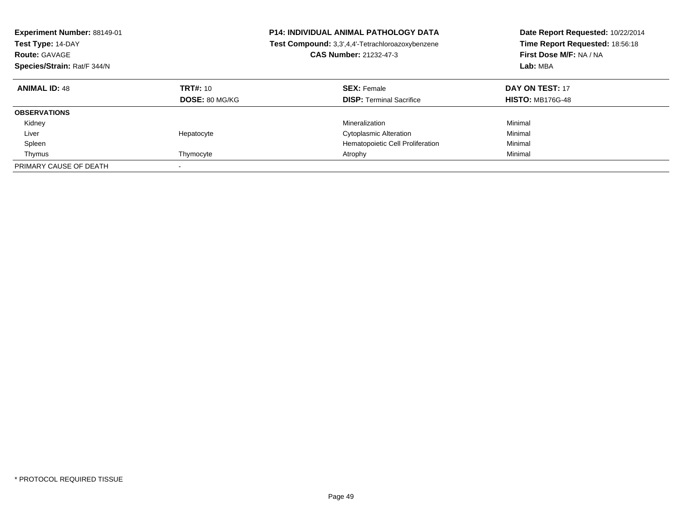| Experiment Number: 88149-01<br>Test Type: 14-DAY<br><b>Route: GAVAGE</b><br>Species/Strain: Rat/F 344/N |                                   | <b>P14: INDIVIDUAL ANIMAL PATHOLOGY DATA</b><br>Test Compound: 3,3',4,4'-Tetrachloroazoxybenzene<br><b>CAS Number: 21232-47-3</b> | Date Report Requested: 10/22/2014<br>Time Report Requested: 18:56:18<br>First Dose M/F: NA / NA<br>Lab: MBA |
|---------------------------------------------------------------------------------------------------------|-----------------------------------|-----------------------------------------------------------------------------------------------------------------------------------|-------------------------------------------------------------------------------------------------------------|
| <b>ANIMAL ID: 48</b>                                                                                    | TRT#: 10<br><b>DOSE: 80 MG/KG</b> | <b>SEX: Female</b><br><b>DISP:</b> Terminal Sacrifice                                                                             | DAY ON TEST: 17<br><b>HISTO: MB176G-48</b>                                                                  |
| <b>OBSERVATIONS</b>                                                                                     |                                   |                                                                                                                                   |                                                                                                             |
| Kidney                                                                                                  |                                   | Mineralization                                                                                                                    | Minimal                                                                                                     |
| Liver                                                                                                   | Hepatocyte                        | <b>Cytoplasmic Alteration</b>                                                                                                     | Minimal                                                                                                     |
| Spleen                                                                                                  |                                   | Hematopoietic Cell Proliferation                                                                                                  | Minimal                                                                                                     |
| Thymus                                                                                                  | Thymocyte                         | Atrophy                                                                                                                           | Minimal                                                                                                     |
| PRIMARY CAUSE OF DEATH                                                                                  |                                   |                                                                                                                                   |                                                                                                             |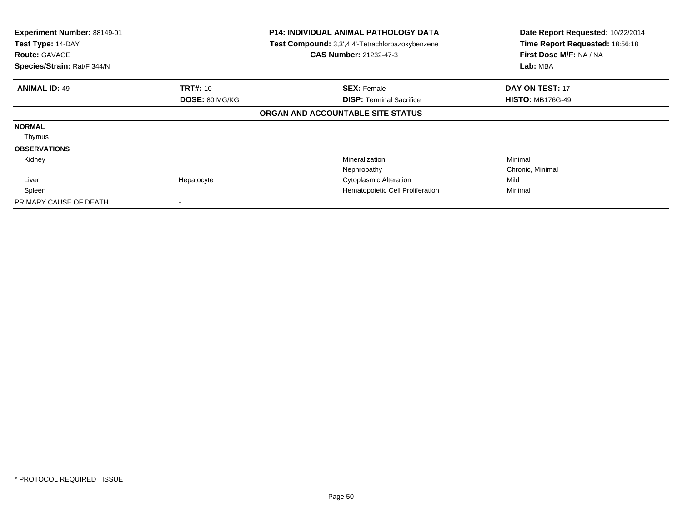| Experiment Number: 88149-01<br>P14: INDIVIDUAL ANIMAL PATHOLOGY DATA<br>Test Type: 14-DAY<br>Test Compound: 3,3',4,4'-Tetrachloroazoxybenzene<br><b>CAS Number: 21232-47-3</b><br><b>Route: GAVAGE</b><br>Species/Strain: Rat/F 344/N |                 | Date Report Requested: 10/22/2014<br>Time Report Requested: 18:56:18<br>First Dose M/F: NA / NA<br>Lab: MBA |                         |
|---------------------------------------------------------------------------------------------------------------------------------------------------------------------------------------------------------------------------------------|-----------------|-------------------------------------------------------------------------------------------------------------|-------------------------|
| <b>ANIMAL ID: 49</b>                                                                                                                                                                                                                  | <b>TRT#: 10</b> | <b>SEX: Female</b>                                                                                          | DAY ON TEST: 17         |
|                                                                                                                                                                                                                                       | DOSE: 80 MG/KG  | <b>DISP:</b> Terminal Sacrifice                                                                             | <b>HISTO: MB176G-49</b> |
|                                                                                                                                                                                                                                       |                 | ORGAN AND ACCOUNTABLE SITE STATUS                                                                           |                         |
| <b>NORMAL</b>                                                                                                                                                                                                                         |                 |                                                                                                             |                         |
| Thymus                                                                                                                                                                                                                                |                 |                                                                                                             |                         |
| <b>OBSERVATIONS</b>                                                                                                                                                                                                                   |                 |                                                                                                             |                         |
| Kidney                                                                                                                                                                                                                                |                 | Mineralization                                                                                              | Minimal                 |
|                                                                                                                                                                                                                                       |                 | Nephropathy                                                                                                 | Chronic, Minimal        |
| Liver                                                                                                                                                                                                                                 | Hepatocyte      | <b>Cytoplasmic Alteration</b>                                                                               | Mild                    |
| Spleen                                                                                                                                                                                                                                |                 | Hematopoietic Cell Proliferation                                                                            | Minimal                 |
| PRIMARY CAUSE OF DEATH                                                                                                                                                                                                                |                 |                                                                                                             |                         |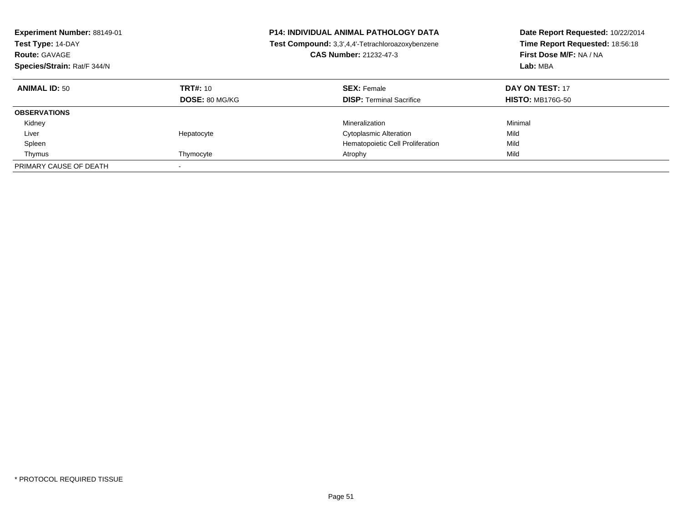| Experiment Number: 88149-01<br>Test Type: 14-DAY<br><b>Route: GAVAGE</b><br>Species/Strain: Rat/F 344/N |                                   | <b>P14: INDIVIDUAL ANIMAL PATHOLOGY DATA</b><br>Test Compound: 3,3',4,4'-Tetrachloroazoxybenzene<br><b>CAS Number: 21232-47-3</b> | Date Report Requested: 10/22/2014<br>Time Report Requested: 18:56:18<br>First Dose M/F: NA / NA<br>Lab: MBA |
|---------------------------------------------------------------------------------------------------------|-----------------------------------|-----------------------------------------------------------------------------------------------------------------------------------|-------------------------------------------------------------------------------------------------------------|
| <b>ANIMAL ID: 50</b>                                                                                    | TRT#: 10<br><b>DOSE: 80 MG/KG</b> | <b>SEX: Female</b><br><b>DISP:</b> Terminal Sacrifice                                                                             | DAY ON TEST: 17<br><b>HISTO: MB176G-50</b>                                                                  |
| <b>OBSERVATIONS</b>                                                                                     |                                   |                                                                                                                                   |                                                                                                             |
| Kidney                                                                                                  |                                   | Mineralization                                                                                                                    | Minimal                                                                                                     |
| Liver                                                                                                   | Hepatocyte                        | <b>Cytoplasmic Alteration</b>                                                                                                     | Mild                                                                                                        |
| Spleen                                                                                                  |                                   | Hematopoietic Cell Proliferation                                                                                                  | Mild                                                                                                        |
| Thymus                                                                                                  | Thymocyte                         | Atrophy                                                                                                                           | Mild                                                                                                        |
| PRIMARY CAUSE OF DEATH                                                                                  |                                   |                                                                                                                                   |                                                                                                             |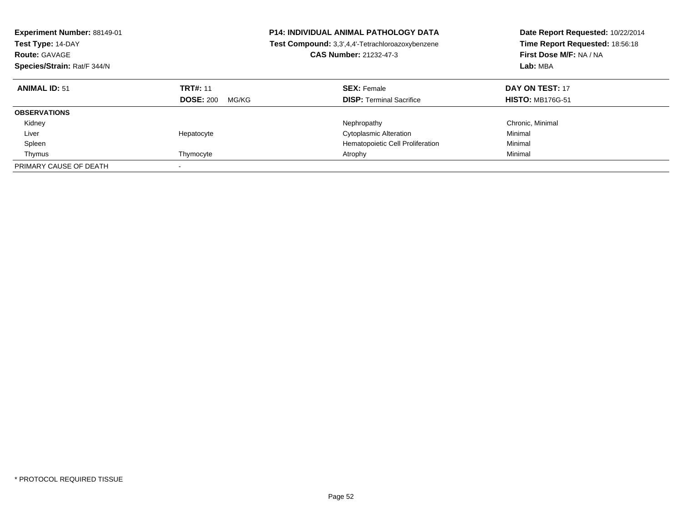| Experiment Number: 88149-01<br>Test Type: 14-DAY<br><b>Route: GAVAGE</b><br>Species/Strain: Rat/F 344/N |                                              | <b>P14: INDIVIDUAL ANIMAL PATHOLOGY DATA</b><br>Test Compound: 3,3',4,4'-Tetrachloroazoxybenzene<br><b>CAS Number: 21232-47-3</b> | Date Report Requested: 10/22/2014<br>Time Report Requested: 18:56:18<br>First Dose M/F: NA / NA<br>Lab: MBA |
|---------------------------------------------------------------------------------------------------------|----------------------------------------------|-----------------------------------------------------------------------------------------------------------------------------------|-------------------------------------------------------------------------------------------------------------|
| <b>ANIMAL ID: 51</b>                                                                                    | <b>TRT#: 11</b><br><b>DOSE: 200</b><br>MG/KG | <b>SEX: Female</b><br><b>DISP:</b> Terminal Sacrifice                                                                             | DAY ON TEST: 17<br><b>HISTO: MB176G-51</b>                                                                  |
|                                                                                                         |                                              |                                                                                                                                   |                                                                                                             |
| <b>OBSERVATIONS</b>                                                                                     |                                              |                                                                                                                                   |                                                                                                             |
| Kidney                                                                                                  |                                              | Nephropathy                                                                                                                       | Chronic, Minimal                                                                                            |
| Liver                                                                                                   | Hepatocyte                                   | <b>Cytoplasmic Alteration</b>                                                                                                     | Minimal                                                                                                     |
| Spleen                                                                                                  |                                              | Hematopoietic Cell Proliferation                                                                                                  | Minimal                                                                                                     |
| Thymus                                                                                                  | Thymocyte                                    | Atrophy                                                                                                                           | Minimal                                                                                                     |
| PRIMARY CAUSE OF DEATH                                                                                  |                                              |                                                                                                                                   |                                                                                                             |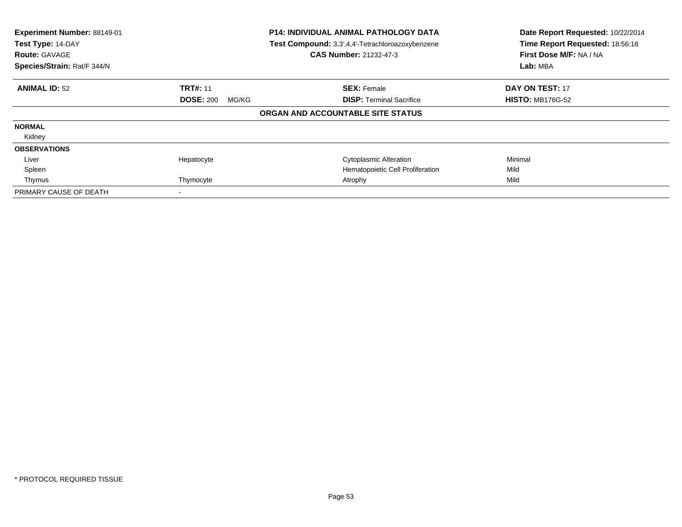| Experiment Number: 88149-01<br>Test Type: 14-DAY<br><b>Route: GAVAGE</b><br>Species/Strain: Rat/F 344/N | <b>P14: INDIVIDUAL ANIMAL PATHOLOGY DATA</b><br>Test Compound: 3,3',4,4'-Tetrachloroazoxybenzene<br><b>CAS Number: 21232-47-3</b> |                                   | Date Report Requested: 10/22/2014<br>Time Report Requested: 18:56:18<br>First Dose M/F: NA / NA<br>Lab: MBA |
|---------------------------------------------------------------------------------------------------------|-----------------------------------------------------------------------------------------------------------------------------------|-----------------------------------|-------------------------------------------------------------------------------------------------------------|
| <b>ANIMAL ID: 52</b>                                                                                    | <b>TRT#: 11</b>                                                                                                                   | <b>SEX: Female</b>                | DAY ON TEST: 17                                                                                             |
|                                                                                                         | <b>DOSE: 200</b><br>MG/KG                                                                                                         | <b>DISP:</b> Terminal Sacrifice   | <b>HISTO: MB176G-52</b>                                                                                     |
|                                                                                                         |                                                                                                                                   | ORGAN AND ACCOUNTABLE SITE STATUS |                                                                                                             |
| <b>NORMAL</b>                                                                                           |                                                                                                                                   |                                   |                                                                                                             |
| Kidney                                                                                                  |                                                                                                                                   |                                   |                                                                                                             |
| <b>OBSERVATIONS</b>                                                                                     |                                                                                                                                   |                                   |                                                                                                             |
| Liver                                                                                                   | Hepatocyte                                                                                                                        | <b>Cytoplasmic Alteration</b>     | Minimal                                                                                                     |
| Spleen                                                                                                  |                                                                                                                                   | Hematopoietic Cell Proliferation  | Mild                                                                                                        |
| Thymus                                                                                                  | Thymocyte                                                                                                                         | Atrophy                           | Mild                                                                                                        |
| PRIMARY CAUSE OF DEATH                                                                                  |                                                                                                                                   |                                   |                                                                                                             |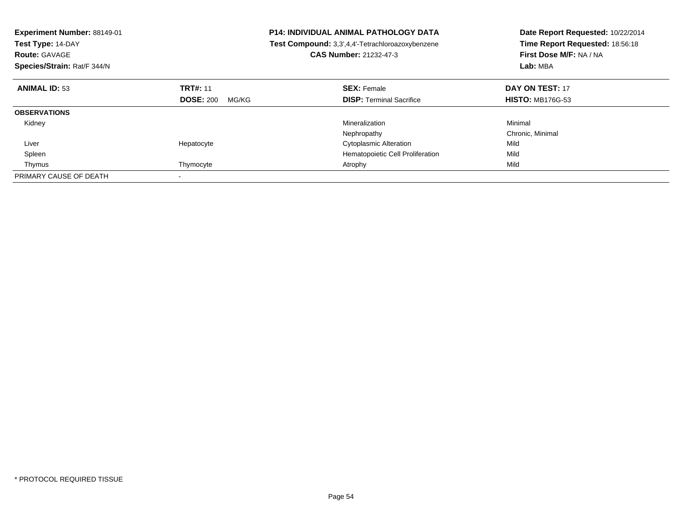| <b>Experiment Number: 88149-01</b><br>Test Type: 14-DAY<br><b>Route: GAVAGE</b><br>Species/Strain: Rat/F 344/N |                           | <b>P14: INDIVIDUAL ANIMAL PATHOLOGY DATA</b><br>Test Compound: 3,3',4,4'-Tetrachloroazoxybenzene<br><b>CAS Number: 21232-47-3</b> | Date Report Requested: 10/22/2014<br>Time Report Requested: 18:56:18<br>First Dose M/F: NA / NA<br>Lab: MBA |
|----------------------------------------------------------------------------------------------------------------|---------------------------|-----------------------------------------------------------------------------------------------------------------------------------|-------------------------------------------------------------------------------------------------------------|
| <b>ANIMAL ID: 53</b>                                                                                           | <b>TRT#: 11</b>           | <b>SEX: Female</b>                                                                                                                | DAY ON TEST: 17                                                                                             |
|                                                                                                                | <b>DOSE: 200</b><br>MG/KG | <b>DISP:</b> Terminal Sacrifice                                                                                                   | <b>HISTO: MB176G-53</b>                                                                                     |
| <b>OBSERVATIONS</b>                                                                                            |                           |                                                                                                                                   |                                                                                                             |
| Kidney                                                                                                         |                           | Mineralization                                                                                                                    | Minimal                                                                                                     |
|                                                                                                                |                           | Nephropathy                                                                                                                       | Chronic, Minimal                                                                                            |
| Liver                                                                                                          | Hepatocyte                | <b>Cytoplasmic Alteration</b>                                                                                                     | Mild                                                                                                        |
| Spleen                                                                                                         |                           | Hematopoietic Cell Proliferation                                                                                                  | Mild                                                                                                        |
| Thymus                                                                                                         | Thymocyte                 | Atrophy                                                                                                                           | Mild                                                                                                        |
| PRIMARY CAUSE OF DEATH                                                                                         |                           |                                                                                                                                   |                                                                                                             |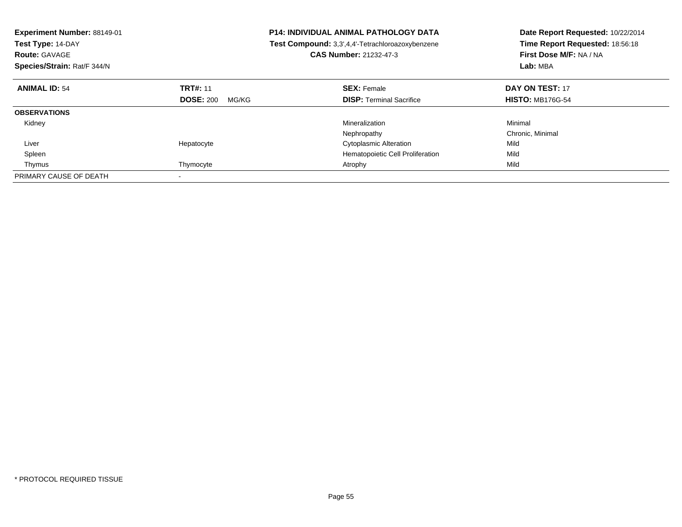| <b>Experiment Number: 88149-01</b><br>Test Type: 14-DAY<br><b>Route: GAVAGE</b><br>Species/Strain: Rat/F 344/N |                           | <b>P14: INDIVIDUAL ANIMAL PATHOLOGY DATA</b><br>Test Compound: 3,3',4,4'-Tetrachloroazoxybenzene<br><b>CAS Number: 21232-47-3</b> | Date Report Requested: 10/22/2014<br>Time Report Requested: 18:56:18<br>First Dose M/F: NA / NA<br>Lab: MBA |
|----------------------------------------------------------------------------------------------------------------|---------------------------|-----------------------------------------------------------------------------------------------------------------------------------|-------------------------------------------------------------------------------------------------------------|
| <b>ANIMAL ID: 54</b>                                                                                           | <b>TRT#: 11</b>           | <b>SEX: Female</b>                                                                                                                | DAY ON TEST: 17                                                                                             |
|                                                                                                                | <b>DOSE: 200</b><br>MG/KG | <b>DISP:</b> Terminal Sacrifice                                                                                                   | <b>HISTO: MB176G-54</b>                                                                                     |
| <b>OBSERVATIONS</b>                                                                                            |                           |                                                                                                                                   |                                                                                                             |
| Kidney                                                                                                         |                           | Mineralization                                                                                                                    | Minimal                                                                                                     |
|                                                                                                                |                           | Nephropathy                                                                                                                       | Chronic, Minimal                                                                                            |
| Liver                                                                                                          | Hepatocyte                | <b>Cytoplasmic Alteration</b>                                                                                                     | Mild                                                                                                        |
| Spleen                                                                                                         |                           | Hematopoietic Cell Proliferation                                                                                                  | Mild                                                                                                        |
| Thymus                                                                                                         | Thymocyte                 | Atrophy                                                                                                                           | Mild                                                                                                        |
| PRIMARY CAUSE OF DEATH                                                                                         |                           |                                                                                                                                   |                                                                                                             |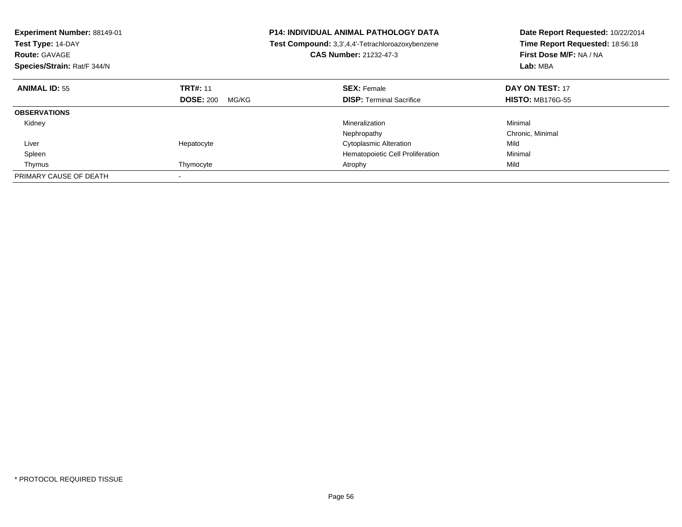| <b>Experiment Number: 88149-01</b><br>Test Type: 14-DAY<br><b>Route: GAVAGE</b><br>Species/Strain: Rat/F 344/N |                           | <b>P14: INDIVIDUAL ANIMAL PATHOLOGY DATA</b><br>Test Compound: 3,3',4,4'-Tetrachloroazoxybenzene<br>CAS Number: 21232-47-3 | Date Report Requested: 10/22/2014<br>Time Report Requested: 18:56:18<br>First Dose M/F: NA / NA<br>Lab: MBA |
|----------------------------------------------------------------------------------------------------------------|---------------------------|----------------------------------------------------------------------------------------------------------------------------|-------------------------------------------------------------------------------------------------------------|
| <b>ANIMAL ID: 55</b>                                                                                           | <b>TRT#: 11</b>           | <b>SEX: Female</b>                                                                                                         | DAY ON TEST: 17                                                                                             |
|                                                                                                                | <b>DOSE: 200</b><br>MG/KG | <b>DISP:</b> Terminal Sacrifice                                                                                            | <b>HISTO: MB176G-55</b>                                                                                     |
| <b>OBSERVATIONS</b>                                                                                            |                           |                                                                                                                            |                                                                                                             |
| Kidney                                                                                                         |                           | Mineralization                                                                                                             | Minimal                                                                                                     |
|                                                                                                                |                           | Nephropathy                                                                                                                | Chronic, Minimal                                                                                            |
| Liver                                                                                                          | Hepatocyte                | <b>Cytoplasmic Alteration</b>                                                                                              | Mild                                                                                                        |
| Spleen                                                                                                         |                           | Hematopoietic Cell Proliferation                                                                                           | Minimal                                                                                                     |
| Thymus                                                                                                         | Thymocyte                 | Atrophy                                                                                                                    | Mild                                                                                                        |
| PRIMARY CAUSE OF DEATH                                                                                         |                           |                                                                                                                            |                                                                                                             |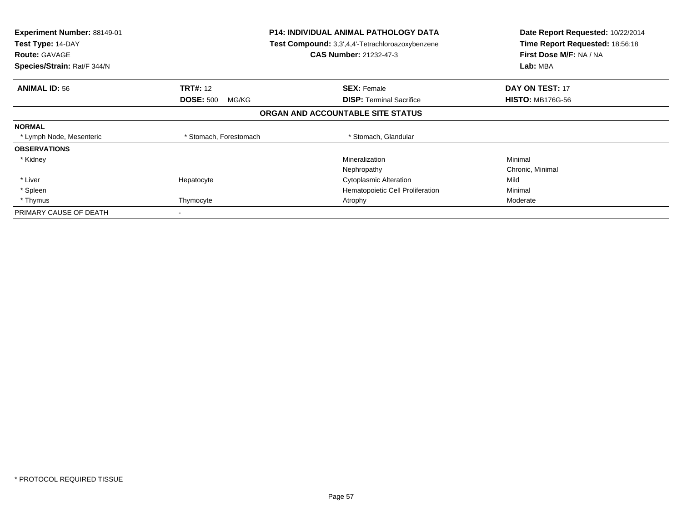| Experiment Number: 88149-01<br>Test Type: 14-DAY<br><b>Route: GAVAGE</b><br>Species/Strain: Rat/F 344/N |                           | <b>P14: INDIVIDUAL ANIMAL PATHOLOGY DATA</b><br><b>Test Compound:</b> 3,3',4,4'-Tetrachloroazoxybenzene<br><b>CAS Number: 21232-47-3</b> | Date Report Requested: 10/22/2014<br>Time Report Requested: 18:56:18<br>First Dose M/F: NA / NA<br>Lab: MBA |
|---------------------------------------------------------------------------------------------------------|---------------------------|------------------------------------------------------------------------------------------------------------------------------------------|-------------------------------------------------------------------------------------------------------------|
| <b>ANIMAL ID: 56</b>                                                                                    | <b>TRT#: 12</b>           | <b>SEX: Female</b>                                                                                                                       | <b>DAY ON TEST: 17</b>                                                                                      |
|                                                                                                         | <b>DOSE: 500</b><br>MG/KG | <b>DISP:</b> Terminal Sacrifice                                                                                                          | <b>HISTO: MB176G-56</b>                                                                                     |
|                                                                                                         |                           | ORGAN AND ACCOUNTABLE SITE STATUS                                                                                                        |                                                                                                             |
| <b>NORMAL</b>                                                                                           |                           |                                                                                                                                          |                                                                                                             |
| * Lymph Node, Mesenteric                                                                                | * Stomach, Forestomach    | * Stomach, Glandular                                                                                                                     |                                                                                                             |
| <b>OBSERVATIONS</b>                                                                                     |                           |                                                                                                                                          |                                                                                                             |
| * Kidney                                                                                                |                           | Mineralization                                                                                                                           | Minimal                                                                                                     |
|                                                                                                         |                           | Nephropathy                                                                                                                              | Chronic, Minimal                                                                                            |
| * Liver                                                                                                 | Hepatocyte                | <b>Cytoplasmic Alteration</b>                                                                                                            | Mild                                                                                                        |
| * Spleen                                                                                                |                           | Hematopoietic Cell Proliferation                                                                                                         | Minimal                                                                                                     |
| * Thymus                                                                                                | Thymocyte                 | Atrophy                                                                                                                                  | Moderate                                                                                                    |
| PRIMARY CAUSE OF DEATH                                                                                  | $\overline{\phantom{a}}$  |                                                                                                                                          |                                                                                                             |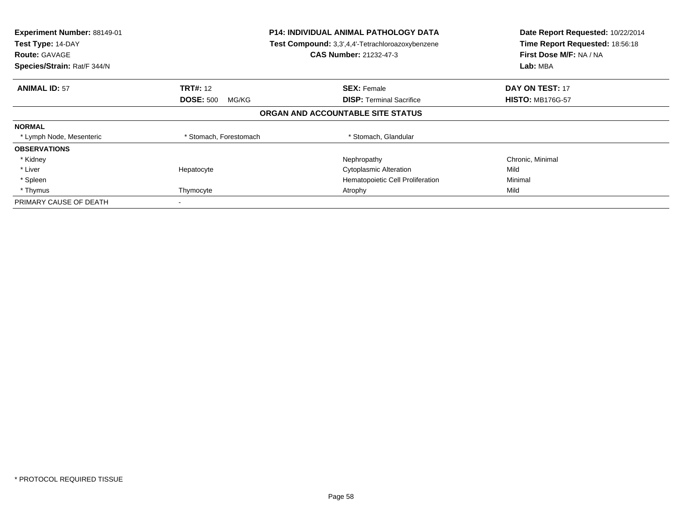| Experiment Number: 88149-01<br>Test Type: 14-DAY<br><b>Route: GAVAGE</b><br>Species/Strain: Rat/F 344/N | <b>P14: INDIVIDUAL ANIMAL PATHOLOGY DATA</b><br>Test Compound: 3,3',4,4'-Tetrachloroazoxybenzene<br><b>CAS Number: 21232-47-3</b> |                                   | Date Report Requested: 10/22/2014<br>Time Report Requested: 18:56:18<br>First Dose M/F: NA / NA<br>Lab: MBA |
|---------------------------------------------------------------------------------------------------------|-----------------------------------------------------------------------------------------------------------------------------------|-----------------------------------|-------------------------------------------------------------------------------------------------------------|
| <b>ANIMAL ID: 57</b>                                                                                    | <b>TRT#: 12</b>                                                                                                                   | <b>SEX: Female</b>                | <b>DAY ON TEST: 17</b>                                                                                      |
|                                                                                                         | <b>DOSE: 500</b><br>MG/KG                                                                                                         | <b>DISP:</b> Terminal Sacrifice   | <b>HISTO: MB176G-57</b>                                                                                     |
|                                                                                                         |                                                                                                                                   | ORGAN AND ACCOUNTABLE SITE STATUS |                                                                                                             |
| <b>NORMAL</b>                                                                                           |                                                                                                                                   |                                   |                                                                                                             |
| * Lymph Node, Mesenteric                                                                                | * Stomach, Forestomach                                                                                                            | * Stomach, Glandular              |                                                                                                             |
| <b>OBSERVATIONS</b>                                                                                     |                                                                                                                                   |                                   |                                                                                                             |
| * Kidney                                                                                                |                                                                                                                                   | Nephropathy                       | Chronic, Minimal                                                                                            |
| * Liver                                                                                                 | Hepatocyte                                                                                                                        | <b>Cytoplasmic Alteration</b>     | Mild                                                                                                        |
| * Spleen                                                                                                |                                                                                                                                   | Hematopoietic Cell Proliferation  | Minimal                                                                                                     |
| * Thymus                                                                                                | Thymocyte                                                                                                                         | Atrophy                           | Mild                                                                                                        |
| PRIMARY CAUSE OF DEATH                                                                                  |                                                                                                                                   |                                   |                                                                                                             |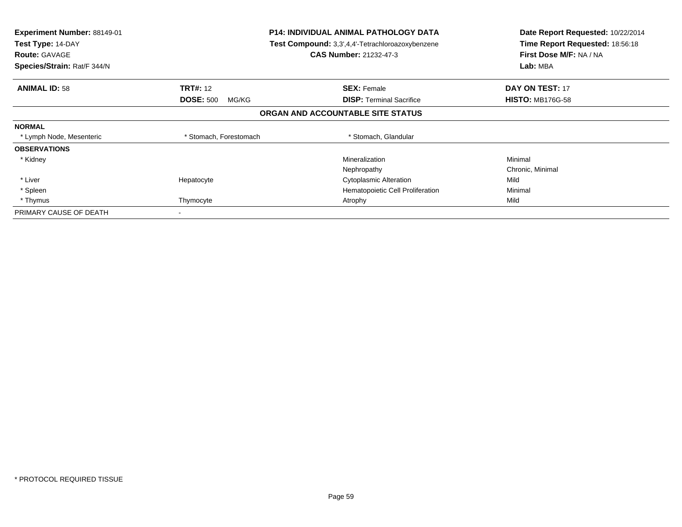| Experiment Number: 88149-01<br>Test Type: 14-DAY<br><b>Route: GAVAGE</b><br>Species/Strain: Rat/F 344/N |                           | <b>P14: INDIVIDUAL ANIMAL PATHOLOGY DATA</b><br><b>Test Compound:</b> 3,3',4,4'-Tetrachloroazoxybenzene<br><b>CAS Number: 21232-47-3</b> | Date Report Requested: 10/22/2014<br>Time Report Requested: 18:56:18<br>First Dose M/F: NA / NA<br>Lab: MBA |
|---------------------------------------------------------------------------------------------------------|---------------------------|------------------------------------------------------------------------------------------------------------------------------------------|-------------------------------------------------------------------------------------------------------------|
| <b>ANIMAL ID: 58</b>                                                                                    | <b>TRT#: 12</b>           | <b>SEX: Female</b>                                                                                                                       | <b>DAY ON TEST: 17</b>                                                                                      |
|                                                                                                         | <b>DOSE: 500</b><br>MG/KG | <b>DISP:</b> Terminal Sacrifice                                                                                                          | <b>HISTO: MB176G-58</b>                                                                                     |
|                                                                                                         |                           | ORGAN AND ACCOUNTABLE SITE STATUS                                                                                                        |                                                                                                             |
| <b>NORMAL</b>                                                                                           |                           |                                                                                                                                          |                                                                                                             |
| * Lymph Node, Mesenteric                                                                                | * Stomach, Forestomach    | * Stomach, Glandular                                                                                                                     |                                                                                                             |
| <b>OBSERVATIONS</b>                                                                                     |                           |                                                                                                                                          |                                                                                                             |
| * Kidney                                                                                                |                           | Mineralization                                                                                                                           | Minimal                                                                                                     |
|                                                                                                         |                           | Nephropathy                                                                                                                              | Chronic, Minimal                                                                                            |
| * Liver                                                                                                 | Hepatocyte                | <b>Cytoplasmic Alteration</b>                                                                                                            | Mild                                                                                                        |
| * Spleen                                                                                                |                           | Hematopoietic Cell Proliferation                                                                                                         | Minimal                                                                                                     |
| * Thymus                                                                                                | Thymocyte                 | Atrophy                                                                                                                                  | Mild                                                                                                        |
| PRIMARY CAUSE OF DEATH                                                                                  | $\overline{\phantom{a}}$  |                                                                                                                                          |                                                                                                             |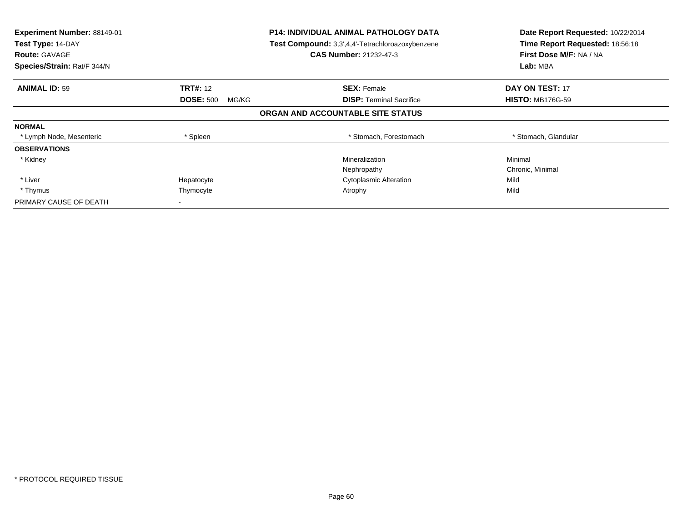| Experiment Number: 88149-01<br><b>P14: INDIVIDUAL ANIMAL PATHOLOGY DATA</b><br>Test Type: 14-DAY<br>Test Compound: 3,3',4,4'-Tetrachloroazoxybenzene<br><b>CAS Number: 21232-47-3</b><br><b>Route: GAVAGE</b> |                           |                                   | Date Report Requested: 10/22/2014<br>Time Report Requested: 18:56:18<br>First Dose M/F: NA / NA |
|---------------------------------------------------------------------------------------------------------------------------------------------------------------------------------------------------------------|---------------------------|-----------------------------------|-------------------------------------------------------------------------------------------------|
| Species/Strain: Rat/F 344/N                                                                                                                                                                                   |                           |                                   | Lab: MBA                                                                                        |
| <b>ANIMAL ID: 59</b>                                                                                                                                                                                          | <b>TRT#: 12</b>           | <b>SEX: Female</b>                | <b>DAY ON TEST: 17</b>                                                                          |
|                                                                                                                                                                                                               | <b>DOSE: 500</b><br>MG/KG | <b>DISP:</b> Terminal Sacrifice   | <b>HISTO: MB176G-59</b>                                                                         |
|                                                                                                                                                                                                               |                           | ORGAN AND ACCOUNTABLE SITE STATUS |                                                                                                 |
| <b>NORMAL</b>                                                                                                                                                                                                 |                           |                                   |                                                                                                 |
| * Lymph Node, Mesenteric                                                                                                                                                                                      | * Spleen                  | * Stomach, Forestomach            | * Stomach, Glandular                                                                            |
| <b>OBSERVATIONS</b>                                                                                                                                                                                           |                           |                                   |                                                                                                 |
| * Kidney                                                                                                                                                                                                      |                           | Mineralization                    | Minimal                                                                                         |
|                                                                                                                                                                                                               |                           | Nephropathy                       | Chronic, Minimal                                                                                |
| * Liver                                                                                                                                                                                                       | Hepatocyte                | <b>Cytoplasmic Alteration</b>     | Mild                                                                                            |
| * Thymus                                                                                                                                                                                                      | Thymocyte                 | Atrophy                           | Mild                                                                                            |
| PRIMARY CAUSE OF DEATH                                                                                                                                                                                        |                           |                                   |                                                                                                 |